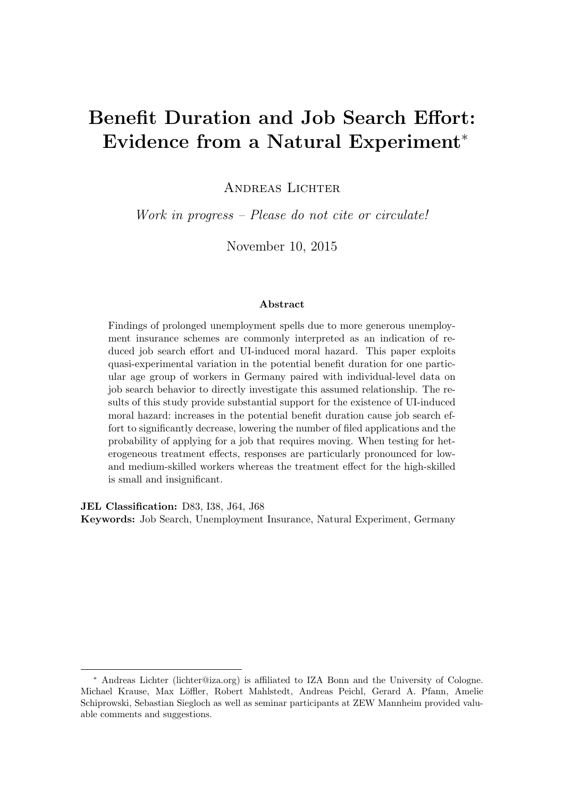# Benefit Duration and Job Search Effort: Evidence from a Natural Experiment<sup>∗</sup>

ANDREAS LICHTER

Work in progress – Please do not cite or circulate!

November 10, 2015

#### Abstract

Findings of prolonged unemployment spells due to more generous unemployment insurance schemes are commonly interpreted as an indication of reduced job search effort and UI-induced moral hazard. This paper exploits quasi-experimental variation in the potential benefit duration for one particular age group of workers in Germany paired with individual-level data on job search behavior to directly investigate this assumed relationship. The results of this study provide substantial support for the existence of UI-induced moral hazard: increases in the potential benefit duration cause job search effort to significantly decrease, lowering the number of filed applications and the probability of applying for a job that requires moving. When testing for heterogeneous treatment effects, responses are particularly pronounced for lowand medium-skilled workers whereas the treatment effect for the high-skilled is small and insignificant.

JEL Classification: D83, I38, J64, J68

Keywords: Job Search, Unemployment Insurance, Natural Experiment, Germany

<sup>∗</sup> Andreas Lichter (lichter@iza.org) is affiliated to IZA Bonn and the University of Cologne. Michael Krause, Max Löffler, Robert Mahlstedt, Andreas Peichl, Gerard A. Pfann, Amelie Schiprowski, Sebastian Siegloch as well as seminar participants at ZEW Mannheim provided valuable comments and suggestions.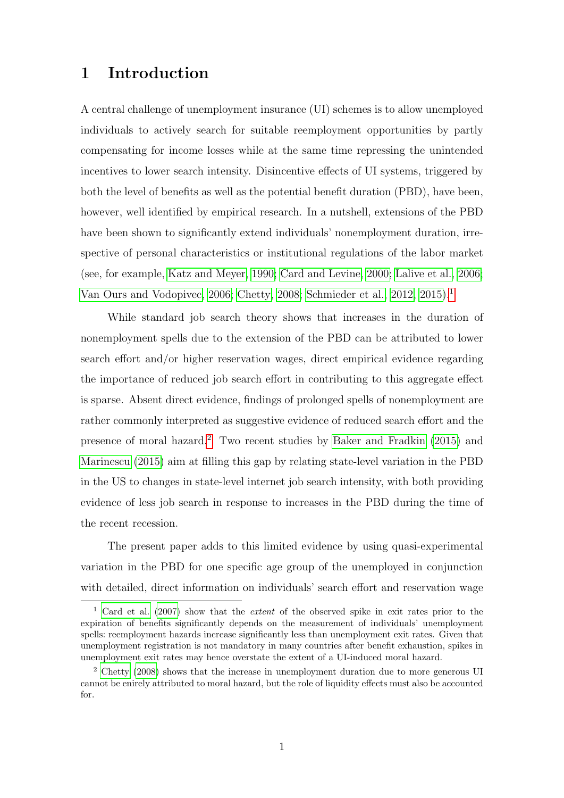### 1 Introduction

A central challenge of unemployment insurance (UI) schemes is to allow unemployed individuals to actively search for suitable reemployment opportunities by partly compensating for income losses while at the same time repressing the unintended incentives to lower search intensity. Disincentive effects of UI systems, triggered by both the level of benefits as well as the potential benefit duration (PBD), have been, however, well identified by empirical research. In a nutshell, extensions of the PBD have been shown to significantly extend individuals' nonemployment duration, irrespective of personal characteristics or institutional regulations of the labor market (see, for example, [Katz and Meyer, 1990;](#page-25-0) [Card and Levine, 2000;](#page-25-1) [Lalive et al., 2006;](#page-25-2) [Van Ours and Vodopivec, 2006;](#page-26-0) [Chetty, 2008;](#page-25-3) [Schmieder et al., 2012,](#page-26-1) [2015\)](#page-26-2).[1](#page-1-0)

While standard job search theory shows that increases in the duration of nonemployment spells due to the extension of the PBD can be attributed to lower search effort and/or higher reservation wages, direct empirical evidence regarding the importance of reduced job search effort in contributing to this aggregate effect is sparse. Absent direct evidence, findings of prolonged spells of nonemployment are rather commonly interpreted as suggestive evidence of reduced search effort and the presence of moral hazard.[2](#page-1-1) Two recent studies by [Baker and Fradkin](#page-25-4) [\(2015\)](#page-25-4) and [Marinescu](#page-26-3) [\(2015\)](#page-26-3) aim at filling this gap by relating state-level variation in the PBD in the US to changes in state-level internet job search intensity, with both providing evidence of less job search in response to increases in the PBD during the time of the recent recession.

The present paper adds to this limited evidence by using quasi-experimental variation in the PBD for one specific age group of the unemployed in conjunction with detailed, direct information on individuals' search effort and reservation wage

<span id="page-1-0"></span><sup>&</sup>lt;sup>1</sup> [Card et al.](#page-25-5) [\(2007\)](#page-25-5) show that the *extent* of the observed spike in exit rates prior to the expiration of benefits significantly depends on the measurement of individuals' unemployment spells: reemployment hazards increase significantly less than unemployment exit rates. Given that unemployment registration is not mandatory in many countries after benefit exhaustion, spikes in unemployment exit rates may hence overstate the extent of a UI-induced moral hazard.

<span id="page-1-1"></span><sup>&</sup>lt;sup>2</sup> [Chetty](#page-25-3) [\(2008\)](#page-25-3) shows that the increase in unemployment duration due to more generous UI cannot be enirely attributed to moral hazard, but the role of liquidity effects must also be accounted for.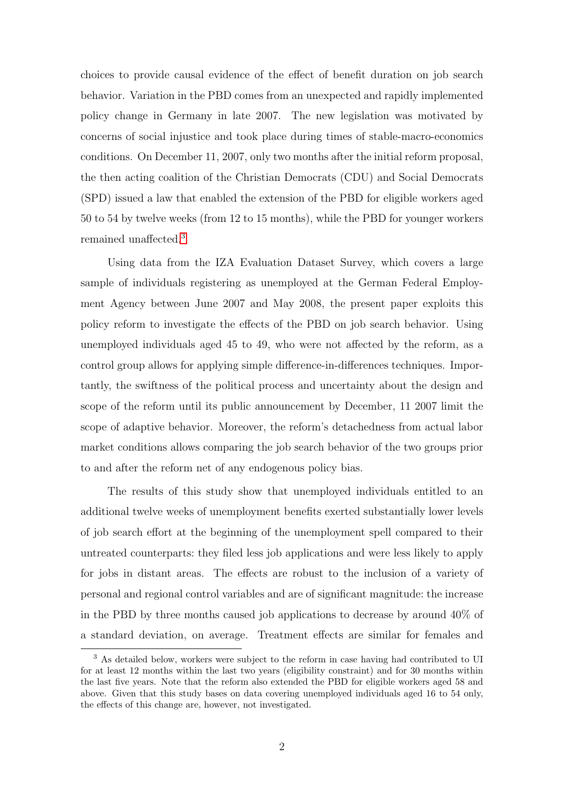choices to provide causal evidence of the effect of benefit duration on job search behavior. Variation in the PBD comes from an unexpected and rapidly implemented policy change in Germany in late 2007. The new legislation was motivated by concerns of social injustice and took place during times of stable-macro-economics conditions. On December 11, 2007, only two months after the initial reform proposal, the then acting coalition of the Christian Democrats (CDU) and Social Democrats (SPD) issued a law that enabled the extension of the PBD for eligible workers aged 50 to 54 by twelve weeks (from 12 to 15 months), while the PBD for younger workers remained unaffected.[3](#page-2-0)

Using data from the IZA Evaluation Dataset Survey, which covers a large sample of individuals registering as unemployed at the German Federal Employment Agency between June 2007 and May 2008, the present paper exploits this policy reform to investigate the effects of the PBD on job search behavior. Using unemployed individuals aged 45 to 49, who were not affected by the reform, as a control group allows for applying simple difference-in-differences techniques. Importantly, the swiftness of the political process and uncertainty about the design and scope of the reform until its public announcement by December, 11 2007 limit the scope of adaptive behavior. Moreover, the reform's detachedness from actual labor market conditions allows comparing the job search behavior of the two groups prior to and after the reform net of any endogenous policy bias.

The results of this study show that unemployed individuals entitled to an additional twelve weeks of unemployment benefits exerted substantially lower levels of job search effort at the beginning of the unemployment spell compared to their untreated counterparts: they filed less job applications and were less likely to apply for jobs in distant areas. The effects are robust to the inclusion of a variety of personal and regional control variables and are of significant magnitude: the increase in the PBD by three months caused job applications to decrease by around 40% of a standard deviation, on average. Treatment effects are similar for females and

<span id="page-2-0"></span><sup>&</sup>lt;sup>3</sup> As detailed below, workers were subject to the reform in case having had contributed to UI for at least 12 months within the last two years (eligibility constraint) and for 30 months within the last five years. Note that the reform also extended the PBD for eligible workers aged 58 and above. Given that this study bases on data covering unemployed individuals aged 16 to 54 only, the effects of this change are, however, not investigated.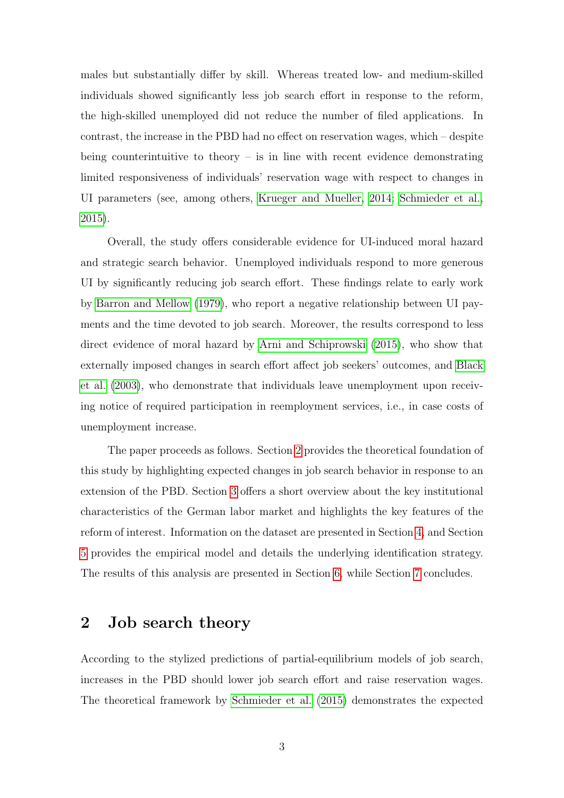males but substantially differ by skill. Whereas treated low- and medium-skilled individuals showed significantly less job search effort in response to the reform, the high-skilled unemployed did not reduce the number of filed applications. In contrast, the increase in the PBD had no effect on reservation wages, which – despite being counterintuitive to theory – is in line with recent evidence demonstrating limited responsiveness of individuals' reservation wage with respect to changes in UI parameters (see, among others, [Krueger and Mueller, 2014;](#page-25-6) [Schmieder et al.,](#page-26-2) [2015\)](#page-26-2).

Overall, the study offers considerable evidence for UI-induced moral hazard and strategic search behavior. Unemployed individuals respond to more generous UI by significantly reducing job search effort. These findings relate to early work by [Barron and Mellow](#page-25-7) [\(1979\)](#page-25-7), who report a negative relationship between UI payments and the time devoted to job search. Moreover, the results correspond to less direct evidence of moral hazard by [Arni and Schiprowski](#page-25-8) [\(2015\)](#page-25-8), who show that externally imposed changes in search effort affect job seekers' outcomes, and [Black](#page-25-9) [et al.](#page-25-9) [\(2003\)](#page-25-9), who demonstrate that individuals leave unemployment upon receiving notice of required participation in reemployment services, i.e., in case costs of unemployment increase.

The paper proceeds as follows. Section [2](#page-3-0) provides the theoretical foundation of this study by highlighting expected changes in job search behavior in response to an extension of the PBD. Section [3](#page-6-0) offers a short overview about the key institutional characteristics of the German labor market and highlights the key features of the reform of interest. Information on the dataset are presented in Section [4,](#page-8-0) and Section [5](#page-9-0) provides the empirical model and details the underlying identification strategy. The results of this analysis are presented in Section [6,](#page-16-0) while Section [7](#page-22-0) concludes.

### <span id="page-3-0"></span>2 Job search theory

According to the stylized predictions of partial-equilibrium models of job search, increases in the PBD should lower job search effort and raise reservation wages. The theoretical framework by [Schmieder et al.](#page-26-2) [\(2015\)](#page-26-2) demonstrates the expected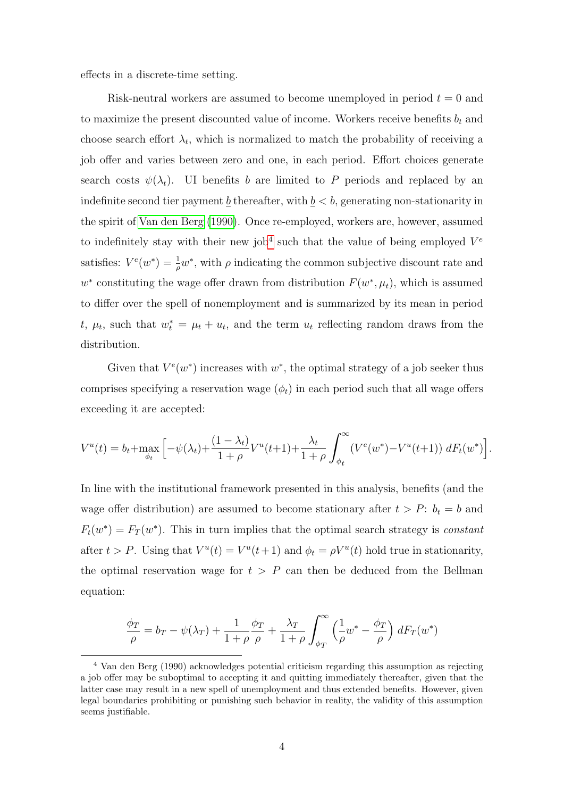effects in a discrete-time setting.

Risk-neutral workers are assumed to become unemployed in period  $t = 0$  and to maximize the present discounted value of income. Workers receive benefits  $b_t$  and choose search effort  $\lambda_t$ , which is normalized to match the probability of receiving a job offer and varies between zero and one, in each period. Effort choices generate search costs  $\psi(\lambda_t)$ . UI benefits b are limited to P periods and replaced by an indefinite second tier payment  $\underline{b}$  thereafter, with  $\underline{b} < b$ , generating non-stationarity in the spirit of [Van den Berg](#page-26-4) [\(1990\)](#page-26-4). Once re-employed, workers are, however, assumed to indefinitely stay with their new job<sup>[4](#page-4-0)</sup> such that the value of being employed  $V^e$ satisfies:  $V^e(w^*) = \frac{1}{\rho}w^*$ , with  $\rho$  indicating the common subjective discount rate and  $w^*$  constituting the wage offer drawn from distribution  $F(w^*, \mu_t)$ , which is assumed to differ over the spell of nonemployment and is summarized by its mean in period t,  $\mu_t$ , such that  $w_t^* = \mu_t + u_t$ , and the term  $u_t$  reflecting random draws from the distribution.

Given that  $V^e(w^*)$  increases with  $w^*$ , the optimal strategy of a job seeker thus comprises specifying a reservation wage  $(\phi_t)$  in each period such that all wage offers exceeding it are accepted:

$$
V^{u}(t) = b_{t} + \max_{\phi_{t}} \left[ -\psi(\lambda_{t}) + \frac{(1-\lambda_{t})}{1+\rho} V^{u}(t+1) + \frac{\lambda_{t}}{1+\rho} \int_{\phi_{t}}^{\infty} (V^{e}(w^{*}) - V^{u}(t+1)) dF_{t}(w^{*}) \right].
$$

In line with the institutional framework presented in this analysis, benefits (and the wage offer distribution) are assumed to become stationary after  $t > P$ :  $b_t = b$  and  $F_t(w^*) = F_T(w^*)$ . This in turn implies that the optimal search strategy is *constant* after  $t > P$ . Using that  $V^u(t) = V^u(t+1)$  and  $\phi_t = \rho V^u(t)$  hold true in stationarity, the optimal reservation wage for  $t > P$  can then be deduced from the Bellman equation:

$$
\frac{\phi_T}{\rho} = b_T - \psi(\lambda_T) + \frac{1}{1+\rho} \frac{\phi_T}{\rho} + \frac{\lambda_T}{1+\rho} \int_{\phi_T}^{\infty} \left(\frac{1}{\rho} w^* - \frac{\phi_T}{\rho}\right) dF_T(w^*)
$$

<span id="page-4-0"></span><sup>4</sup> Van den Berg (1990) acknowledges potential criticism regarding this assumption as rejecting a job offer may be suboptimal to accepting it and quitting immediately thereafter, given that the latter case may result in a new spell of unemployment and thus extended benefits. However, given legal boundaries prohibiting or punishing such behavior in reality, the validity of this assumption seems justifiable.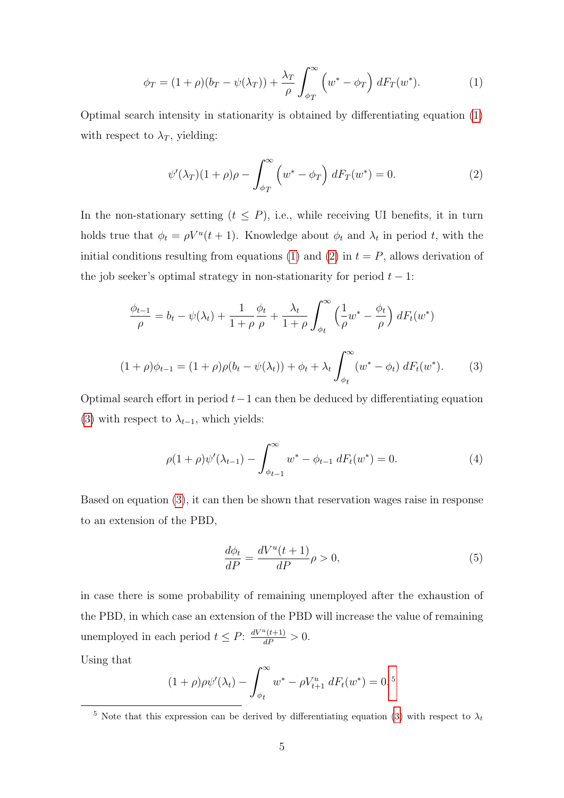<span id="page-5-0"></span>
$$
\phi_T = (1+\rho)(b_T - \psi(\lambda_T)) + \frac{\lambda_T}{\rho} \int_{\phi_T}^{\infty} \left( w^* - \phi_T \right) dF_T(w^*).
$$
 (1)

Optimal search intensity in stationarity is obtained by differentiating equation [\(1\)](#page-5-0) with respect to  $\lambda_T$ , yielding:

<span id="page-5-1"></span>
$$
\psi'(\lambda_T)(1+\rho)\rho - \int_{\phi_T}^{\infty} \left(w^* - \phi_T\right) dF_T(w^*) = 0.
$$
\n(2)

In the non-stationary setting  $(t \leq P)$ , i.e., while receiving UI benefits, it in turn holds true that  $\phi_t = \rho V^u(t+1)$ . Knowledge about  $\phi_t$  and  $\lambda_t$  in period t, with the initial conditions resulting from equations [\(1\)](#page-5-0) and [\(2\)](#page-5-1) in  $t = P$ , allows derivation of the job seeker's optimal strategy in non-stationarity for period  $t - 1$ :

<span id="page-5-2"></span>
$$
\frac{\phi_{t-1}}{\rho} = b_t - \psi(\lambda_t) + \frac{1}{1+\rho} \frac{\phi_t}{\rho} + \frac{\lambda_t}{1+\rho} \int_{\phi_t}^{\infty} \left(\frac{1}{\rho} w^* - \frac{\phi_t}{\rho}\right) dF_t(w^*)
$$
  

$$
(1+\rho)\phi_{t-1} = (1+\rho)\rho(b_t - \psi(\lambda_t)) + \phi_t + \lambda_t \int_{\phi_t}^{\infty} (w^* - \phi_t) dF_t(w^*).
$$
 (3)

Optimal search effort in period  $t-1$  can then be deduced by differentiating equation [\(3\)](#page-5-2) with respect to  $\lambda_{t-1}$ , which yields:

<span id="page-5-4"></span>
$$
\rho(1+\rho)\psi'(\lambda_{t-1}) - \int_{\phi_{t-1}}^{\infty} w^* - \phi_{t-1} dF_t(w^*) = 0.
$$
 (4)

Based on equation [\(3\)](#page-5-2), it can then be shown that reservation wages raise in response to an extension of the PBD,

$$
\frac{d\phi_t}{dP} = \frac{dV^u(t+1)}{dP}\rho > 0,\tag{5}
$$

in case there is some probability of remaining unemployed after the exhaustion of the PBD, in which case an extension of the PBD will increase the value of remaining unemployed in each period  $t \leq P$ :  $\frac{dV^u(t+1)}{dP} > 0$ .

Using that

$$
(1+\rho)\rho\psi'(\lambda_t) - \int_{\phi_t}^{\infty} w^* - \rho V_{t+1}^u dF_t(w^*) = 0,
$$
<sup>5</sup>

<span id="page-5-3"></span><sup>&</sup>lt;sup>5</sup> Note that this expression can be derived by differentiating equation [\(3\)](#page-5-2) with respect to  $\lambda_t$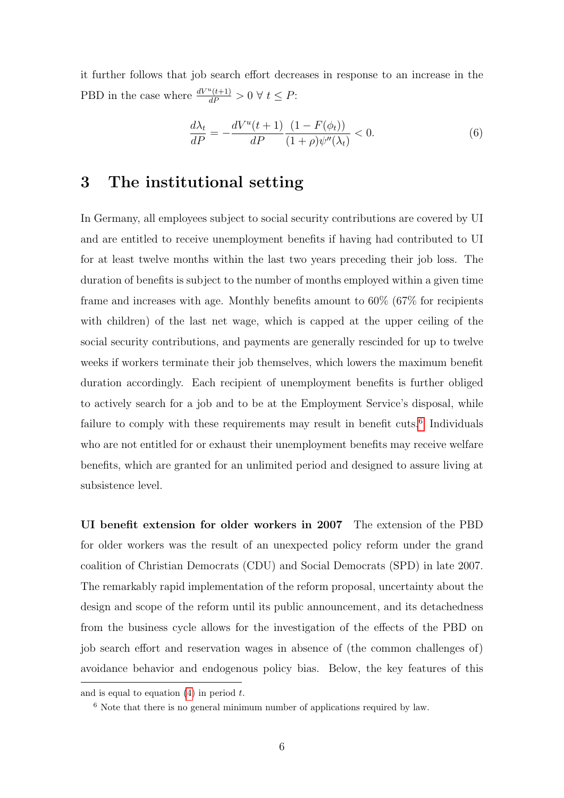it further follows that job search effort decreases in response to an increase in the PBD in the case where  $\frac{dV^u(t+1)}{dP} > 0 \ \forall \ t \leq P$ :

$$
\frac{d\lambda_t}{dP} = -\frac{dV^u(t+1)}{dP} \frac{(1 - F(\phi_t))}{(1 + \rho)\psi''(\lambda_t)} < 0. \tag{6}
$$

## <span id="page-6-0"></span>3 The institutional setting

In Germany, all employees subject to social security contributions are covered by UI and are entitled to receive unemployment benefits if having had contributed to UI for at least twelve months within the last two years preceding their job loss. The duration of benefits is subject to the number of months employed within a given time frame and increases with age. Monthly benefits amount to 60% (67% for recipients with children) of the last net wage, which is capped at the upper ceiling of the social security contributions, and payments are generally rescinded for up to twelve weeks if workers terminate their job themselves, which lowers the maximum benefit duration accordingly. Each recipient of unemployment benefits is further obliged to actively search for a job and to be at the Employment Service's disposal, while failure to comply with these requirements may result in benefit cuts.<sup>[6](#page-6-1)</sup> Individuals who are not entitled for or exhaust their unemployment benefits may receive welfare benefits, which are granted for an unlimited period and designed to assure living at subsistence level.

UI benefit extension for older workers in 2007 The extension of the PBD for older workers was the result of an unexpected policy reform under the grand coalition of Christian Democrats (CDU) and Social Democrats (SPD) in late 2007. The remarkably rapid implementation of the reform proposal, uncertainty about the design and scope of the reform until its public announcement, and its detachedness from the business cycle allows for the investigation of the effects of the PBD on job search effort and reservation wages in absence of (the common challenges of) avoidance behavior and endogenous policy bias. Below, the key features of this

and is equal to equation  $(4)$  in period t.

<span id="page-6-1"></span><sup>6</sup> Note that there is no general minimum number of applications required by law.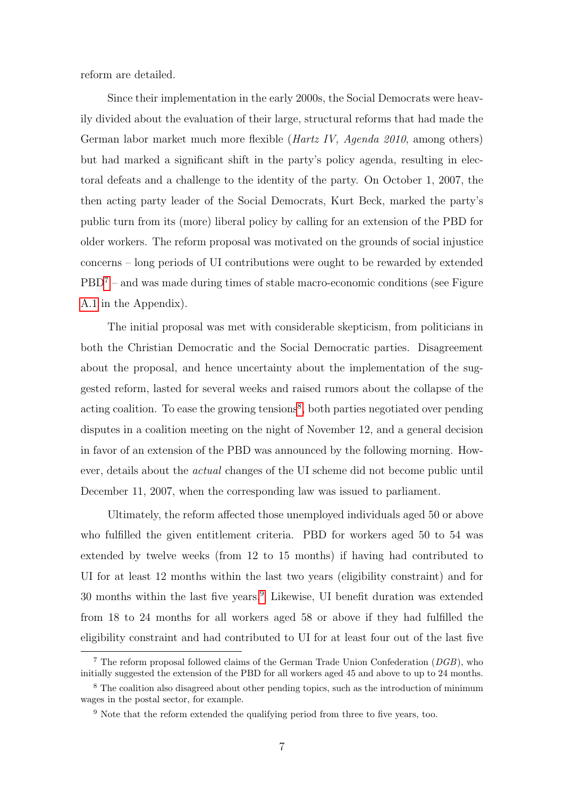reform are detailed.

Since their implementation in the early 2000s, the Social Democrats were heavily divided about the evaluation of their large, structural reforms that had made the German labor market much more flexible (Hartz IV, Agenda 2010, among others) but had marked a significant shift in the party's policy agenda, resulting in electoral defeats and a challenge to the identity of the party. On October 1, 2007, the then acting party leader of the Social Democrats, Kurt Beck, marked the party's public turn from its (more) liberal policy by calling for an extension of the PBD for older workers. The reform proposal was motivated on the grounds of social injustice concerns – long periods of UI contributions were ought to be rewarded by extended  $PBD<sup>7</sup>$  $PBD<sup>7</sup>$  $PBD<sup>7</sup>$  – and was made during times of stable macro-economic conditions (see Figure [A.1](#page-27-0) in the Appendix).

The initial proposal was met with considerable skepticism, from politicians in both the Christian Democratic and the Social Democratic parties. Disagreement about the proposal, and hence uncertainty about the implementation of the suggested reform, lasted for several weeks and raised rumors about the collapse of the acting coalition. To ease the growing tensions<sup>[8](#page-7-1)</sup>, both parties negotiated over pending disputes in a coalition meeting on the night of November 12, and a general decision in favor of an extension of the PBD was announced by the following morning. However, details about the actual changes of the UI scheme did not become public until December 11, 2007, when the corresponding law was issued to parliament.

Ultimately, the reform affected those unemployed individuals aged 50 or above who fulfilled the given entitlement criteria. PBD for workers aged 50 to 54 was extended by twelve weeks (from 12 to 15 months) if having had contributed to UI for at least 12 months within the last two years (eligibility constraint) and for 30 months within the last five years.[9](#page-7-2) Likewise, UI benefit duration was extended from 18 to 24 months for all workers aged 58 or above if they had fulfilled the eligibility constraint and had contributed to UI for at least four out of the last five

<span id="page-7-0"></span><sup>&</sup>lt;sup>7</sup> The reform proposal followed claims of the German Trade Union Confederation  $(DGB)$ , who initially suggested the extension of the PBD for all workers aged 45 and above to up to 24 months.

<span id="page-7-1"></span><sup>&</sup>lt;sup>8</sup> The coalition also disagreed about other pending topics, such as the introduction of minimum wages in the postal sector, for example.

<span id="page-7-2"></span><sup>&</sup>lt;sup>9</sup> Note that the reform extended the qualifying period from three to five years, too.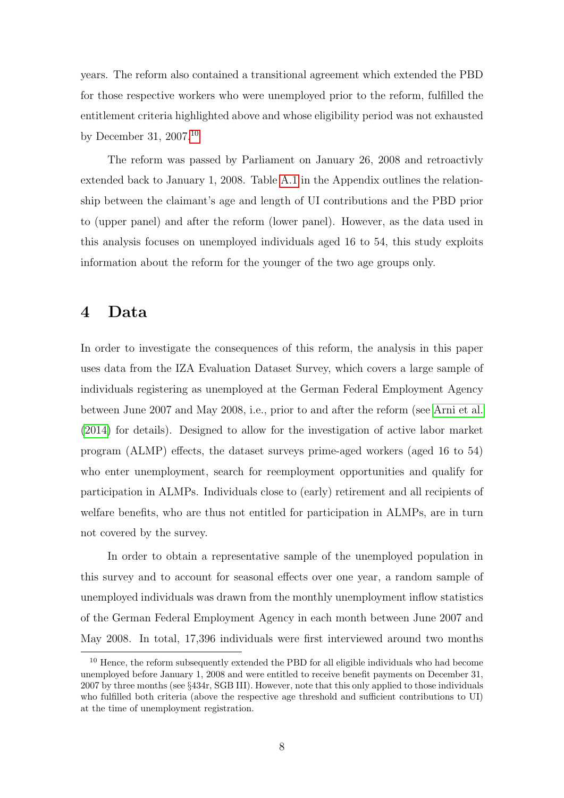years. The reform also contained a transitional agreement which extended the PBD for those respective workers who were unemployed prior to the reform, fulfilled the entitlement criteria highlighted above and whose eligibility period was not exhausted by December 31, 2007.[10](#page-8-1)

The reform was passed by Parliament on January 26, 2008 and retroactivly extended back to January 1, 2008. Table [A.1](#page-27-1) in the Appendix outlines the relationship between the claimant's age and length of UI contributions and the PBD prior to (upper panel) and after the reform (lower panel). However, as the data used in this analysis focuses on unemployed individuals aged 16 to 54, this study exploits information about the reform for the younger of the two age groups only.

### <span id="page-8-0"></span>4 Data

In order to investigate the consequences of this reform, the analysis in this paper uses data from the IZA Evaluation Dataset Survey, which covers a large sample of individuals registering as unemployed at the German Federal Employment Agency between June 2007 and May 2008, i.e., prior to and after the reform (see [Arni et al.](#page-25-10) [\(2014\)](#page-25-10) for details). Designed to allow for the investigation of active labor market program (ALMP) effects, the dataset surveys prime-aged workers (aged 16 to 54) who enter unemployment, search for reemployment opportunities and qualify for participation in ALMPs. Individuals close to (early) retirement and all recipients of welfare benefits, who are thus not entitled for participation in ALMPs, are in turn not covered by the survey.

In order to obtain a representative sample of the unemployed population in this survey and to account for seasonal effects over one year, a random sample of unemployed individuals was drawn from the monthly unemployment inflow statistics of the German Federal Employment Agency in each month between June 2007 and May 2008. In total, 17,396 individuals were first interviewed around two months

<span id="page-8-1"></span><sup>&</sup>lt;sup>10</sup> Hence, the reform subsequently extended the PBD for all eligible individuals who had become unemployed before January 1, 2008 and were entitled to receive benefit payments on December 31, 2007 by three months (see §434r, SGB III). However, note that this only applied to those individuals who fulfilled both criteria (above the respective age threshold and sufficient contributions to UI) at the time of unemployment registration.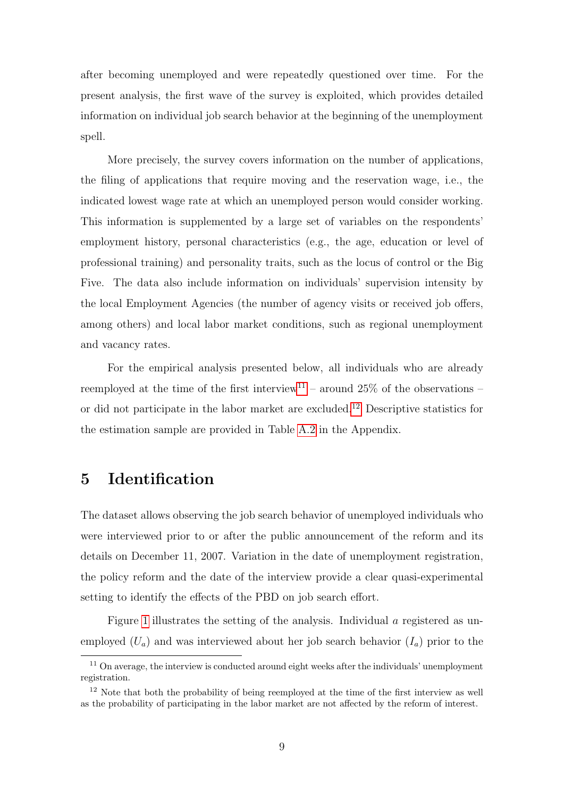after becoming unemployed and were repeatedly questioned over time. For the present analysis, the first wave of the survey is exploited, which provides detailed information on individual job search behavior at the beginning of the unemployment spell.

More precisely, the survey covers information on the number of applications, the filing of applications that require moving and the reservation wage, i.e., the indicated lowest wage rate at which an unemployed person would consider working. This information is supplemented by a large set of variables on the respondents' employment history, personal characteristics (e.g., the age, education or level of professional training) and personality traits, such as the locus of control or the Big Five. The data also include information on individuals' supervision intensity by the local Employment Agencies (the number of agency visits or received job offers, among others) and local labor market conditions, such as regional unemployment and vacancy rates.

For the empirical analysis presented below, all individuals who are already reemployed at the time of the first interview<sup>[11](#page-9-1)</sup> – around  $25\%$  of the observations – or did not participate in the labor market are excluded.<sup>[12](#page-9-2)</sup> Descriptive statistics for the estimation sample are provided in Table [A.2](#page-28-0) in the Appendix.

## <span id="page-9-0"></span>5 Identification

The dataset allows observing the job search behavior of unemployed individuals who were interviewed prior to or after the public announcement of the reform and its details on December 11, 2007. Variation in the date of unemployment registration, the policy reform and the date of the interview provide a clear quasi-experimental setting to identify the effects of the PBD on job search effort.

Figure [1](#page-10-0) illustrates the setting of the analysis. Individual a registered as unemployed  $(U_a)$  and was interviewed about her job search behavior  $(I_a)$  prior to the

<span id="page-9-1"></span> $11$  On average, the interview is conducted around eight weeks after the individuals' unemployment registration.

<span id="page-9-2"></span> $12$  Note that both the probability of being reemployed at the time of the first interview as well as the probability of participating in the labor market are not affected by the reform of interest.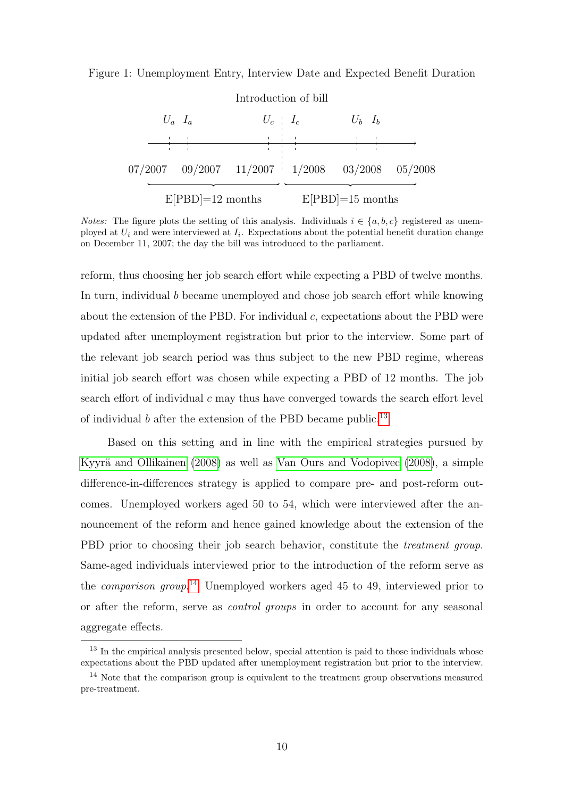#### <span id="page-10-0"></span>Figure 1: Unemployment Entry, Interview Date and Expected Benefit Duration



*Notes:* The figure plots the setting of this analysis. Individuals  $i \in \{a, b, c\}$  registered as unemployed at  $U_i$  and were interviewed at  $I_i$ . Expectations about the potential benefit duration change on December 11, 2007; the day the bill was introduced to the parliament.

reform, thus choosing her job search effort while expecting a PBD of twelve months. In turn, individual b became unemployed and chose job search effort while knowing about the extension of the PBD. For individual c, expectations about the PBD were updated after unemployment registration but prior to the interview. Some part of the relevant job search period was thus subject to the new PBD regime, whereas initial job search effort was chosen while expecting a PBD of 12 months. The job search effort of individual  $c$  may thus have converged towards the search effort level of individual b after the extension of the PBD became public.<sup>[13](#page-10-1)</sup>

Based on this setting and in line with the empirical strategies pursued by Kyyrä and Ollikainen  $(2008)$  as well as [Van Ours and Vodopivec](#page-26-5)  $(2008)$ , a simple difference-in-differences strategy is applied to compare pre- and post-reform outcomes. Unemployed workers aged 50 to 54, which were interviewed after the announcement of the reform and hence gained knowledge about the extension of the PBD prior to choosing their job search behavior, constitute the *treatment group*. Same-aged individuals interviewed prior to the introduction of the reform serve as the *comparison group*.<sup>[14](#page-10-2)</sup> Unemployed workers aged 45 to 49, interviewed prior to or after the reform, serve as control groups in order to account for any seasonal aggregate effects.

<span id="page-10-1"></span><sup>&</sup>lt;sup>13</sup> In the empirical analysis presented below, special attention is paid to those individuals whose expectations about the PBD updated after unemployment registration but prior to the interview.

<span id="page-10-2"></span><sup>&</sup>lt;sup>14</sup> Note that the comparison group is equivalent to the treatment group observations measured pre-treatment.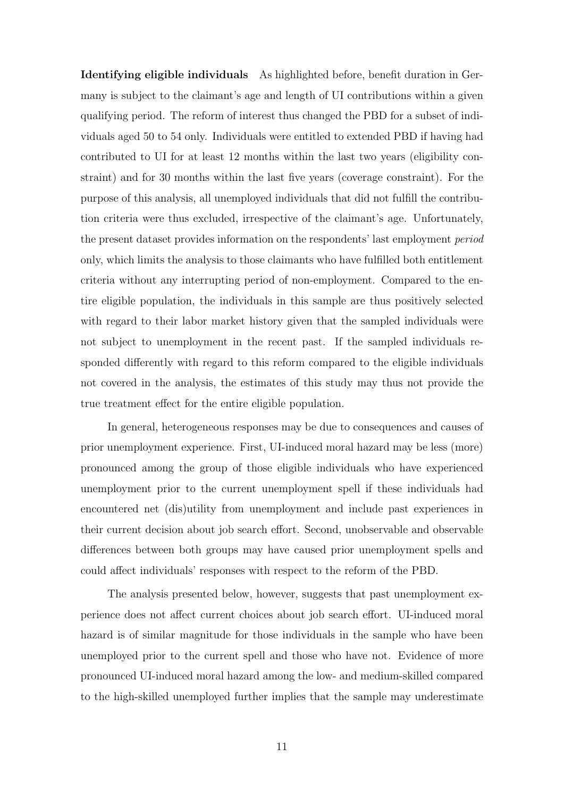Identifying eligible individuals As highlighted before, benefit duration in Germany is subject to the claimant's age and length of UI contributions within a given qualifying period. The reform of interest thus changed the PBD for a subset of individuals aged 50 to 54 only. Individuals were entitled to extended PBD if having had contributed to UI for at least 12 months within the last two years (eligibility constraint) and for 30 months within the last five years (coverage constraint). For the purpose of this analysis, all unemployed individuals that did not fulfill the contribution criteria were thus excluded, irrespective of the claimant's age. Unfortunately, the present dataset provides information on the respondents' last employment period only, which limits the analysis to those claimants who have fulfilled both entitlement criteria without any interrupting period of non-employment. Compared to the entire eligible population, the individuals in this sample are thus positively selected with regard to their labor market history given that the sampled individuals were not subject to unemployment in the recent past. If the sampled individuals responded differently with regard to this reform compared to the eligible individuals not covered in the analysis, the estimates of this study may thus not provide the true treatment effect for the entire eligible population.

In general, heterogeneous responses may be due to consequences and causes of prior unemployment experience. First, UI-induced moral hazard may be less (more) pronounced among the group of those eligible individuals who have experienced unemployment prior to the current unemployment spell if these individuals had encountered net (dis)utility from unemployment and include past experiences in their current decision about job search effort. Second, unobservable and observable differences between both groups may have caused prior unemployment spells and could affect individuals' responses with respect to the reform of the PBD.

The analysis presented below, however, suggests that past unemployment experience does not affect current choices about job search effort. UI-induced moral hazard is of similar magnitude for those individuals in the sample who have been unemployed prior to the current spell and those who have not. Evidence of more pronounced UI-induced moral hazard among the low- and medium-skilled compared to the high-skilled unemployed further implies that the sample may underestimate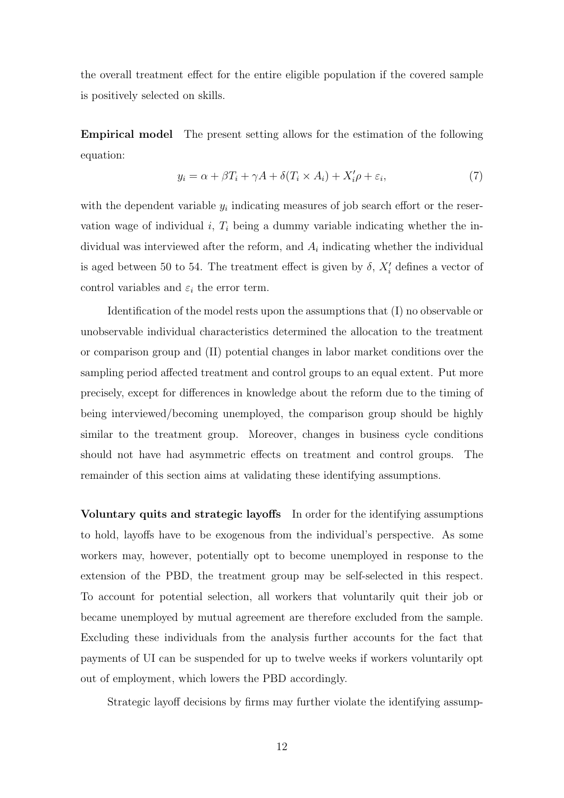the overall treatment effect for the entire eligible population if the covered sample is positively selected on skills.

Empirical model The present setting allows for the estimation of the following equation:

$$
y_i = \alpha + \beta T_i + \gamma A + \delta (T_i \times A_i) + X_i' \rho + \varepsilon_i,
$$
\n<sup>(7)</sup>

with the dependent variable  $y_i$  indicating measures of job search effort or the reservation wage of individual  $i, T<sub>i</sub>$  being a dummy variable indicating whether the individual was interviewed after the reform, and  $A_i$  indicating whether the individual is aged between 50 to 54. The treatment effect is given by  $\delta$ ,  $X'_{i}$  defines a vector of control variables and  $\varepsilon_i$  the error term.

Identification of the model rests upon the assumptions that (I) no observable or unobservable individual characteristics determined the allocation to the treatment or comparison group and (II) potential changes in labor market conditions over the sampling period affected treatment and control groups to an equal extent. Put more precisely, except for differences in knowledge about the reform due to the timing of being interviewed/becoming unemployed, the comparison group should be highly similar to the treatment group. Moreover, changes in business cycle conditions should not have had asymmetric effects on treatment and control groups. The remainder of this section aims at validating these identifying assumptions.

Voluntary quits and strategic layoffs In order for the identifying assumptions to hold, layoffs have to be exogenous from the individual's perspective. As some workers may, however, potentially opt to become unemployed in response to the extension of the PBD, the treatment group may be self-selected in this respect. To account for potential selection, all workers that voluntarily quit their job or became unemployed by mutual agreement are therefore excluded from the sample. Excluding these individuals from the analysis further accounts for the fact that payments of UI can be suspended for up to twelve weeks if workers voluntarily opt out of employment, which lowers the PBD accordingly.

Strategic layoff decisions by firms may further violate the identifying assump-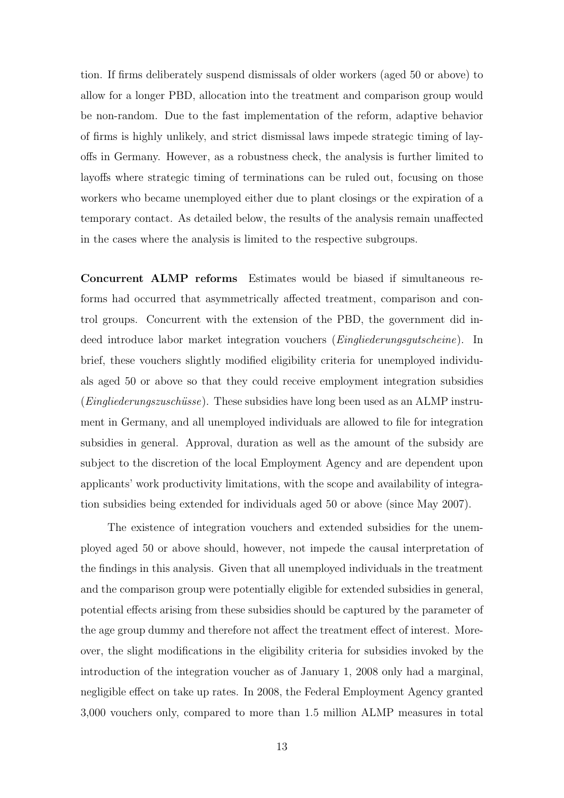tion. If firms deliberately suspend dismissals of older workers (aged 50 or above) to allow for a longer PBD, allocation into the treatment and comparison group would be non-random. Due to the fast implementation of the reform, adaptive behavior of firms is highly unlikely, and strict dismissal laws impede strategic timing of layoffs in Germany. However, as a robustness check, the analysis is further limited to layoffs where strategic timing of terminations can be ruled out, focusing on those workers who became unemployed either due to plant closings or the expiration of a temporary contact. As detailed below, the results of the analysis remain unaffected in the cases where the analysis is limited to the respective subgroups.

Concurrent ALMP reforms Estimates would be biased if simultaneous reforms had occurred that asymmetrically affected treatment, comparison and control groups. Concurrent with the extension of the PBD, the government did indeed introduce labor market integration vouchers (Eingliederungsgutscheine). In brief, these vouchers slightly modified eligibility criteria for unemployed individuals aged 50 or above so that they could receive employment integration subsidies  $(Eindiederungszuschüsse)$ . These subsidies have long been used as an ALMP instrument in Germany, and all unemployed individuals are allowed to file for integration subsidies in general. Approval, duration as well as the amount of the subsidy are subject to the discretion of the local Employment Agency and are dependent upon applicants' work productivity limitations, with the scope and availability of integration subsidies being extended for individuals aged 50 or above (since May 2007).

The existence of integration vouchers and extended subsidies for the unemployed aged 50 or above should, however, not impede the causal interpretation of the findings in this analysis. Given that all unemployed individuals in the treatment and the comparison group were potentially eligible for extended subsidies in general, potential effects arising from these subsidies should be captured by the parameter of the age group dummy and therefore not affect the treatment effect of interest. Moreover, the slight modifications in the eligibility criteria for subsidies invoked by the introduction of the integration voucher as of January 1, 2008 only had a marginal, negligible effect on take up rates. In 2008, the Federal Employment Agency granted 3,000 vouchers only, compared to more than 1.5 million ALMP measures in total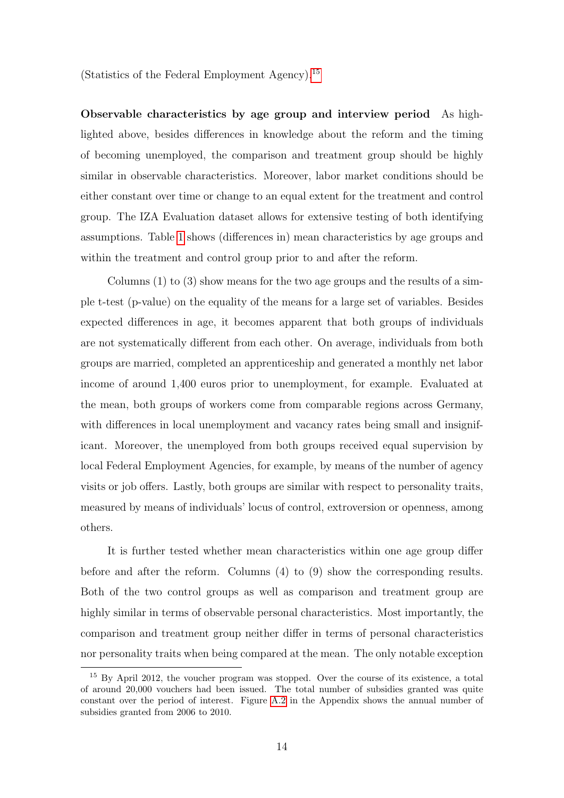(Statistics of the Federal Employment Agency).[15](#page-14-0)

Observable characteristics by age group and interview period As highlighted above, besides differences in knowledge about the reform and the timing of becoming unemployed, the comparison and treatment group should be highly similar in observable characteristics. Moreover, labor market conditions should be either constant over time or change to an equal extent for the treatment and control group. The IZA Evaluation dataset allows for extensive testing of both identifying assumptions. Table [1](#page-15-0) shows (differences in) mean characteristics by age groups and within the treatment and control group prior to and after the reform.

Columns  $(1)$  to  $(3)$  show means for the two age groups and the results of a simple t-test (p-value) on the equality of the means for a large set of variables. Besides expected differences in age, it becomes apparent that both groups of individuals are not systematically different from each other. On average, individuals from both groups are married, completed an apprenticeship and generated a monthly net labor income of around 1,400 euros prior to unemployment, for example. Evaluated at the mean, both groups of workers come from comparable regions across Germany, with differences in local unemployment and vacancy rates being small and insignificant. Moreover, the unemployed from both groups received equal supervision by local Federal Employment Agencies, for example, by means of the number of agency visits or job offers. Lastly, both groups are similar with respect to personality traits, measured by means of individuals' locus of control, extroversion or openness, among others.

It is further tested whether mean characteristics within one age group differ before and after the reform. Columns (4) to (9) show the corresponding results. Both of the two control groups as well as comparison and treatment group are highly similar in terms of observable personal characteristics. Most importantly, the comparison and treatment group neither differ in terms of personal characteristics nor personality traits when being compared at the mean. The only notable exception

<span id="page-14-0"></span><sup>&</sup>lt;sup>15</sup> By April 2012, the voucher program was stopped. Over the course of its existence, a total of around 20,000 vouchers had been issued. The total number of subsidies granted was quite constant over the period of interest. Figure [A.2](#page-28-1) in the Appendix shows the annual number of subsidies granted from 2006 to 2010.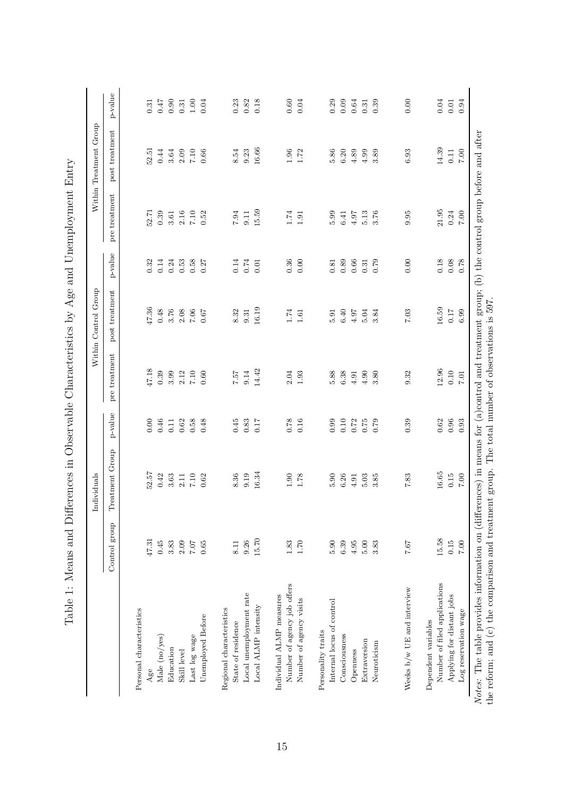|                                                |               | Individuals     |            |               | Within Control Group |          |               | Within Treatment Group |         |
|------------------------------------------------|---------------|-----------------|------------|---------------|----------------------|----------|---------------|------------------------|---------|
|                                                | Control group | Treatment Group | p-value    | pre treatment | post treatment       | p-value  | pre treatment | post treatment         | p-value |
| Personal characteristics                       |               |                 |            |               |                      |          |               |                        |         |
| Age                                            | 47.31         | 52.57           | 0.00       | 47.18         | 47.36                | 0.32     | 52.71         | 52.51                  | 0.31    |
| Male (no/yes)                                  | 0.45          | 0.42            | 0.46       | 0.39          | 0.48                 | 0.14     | 0.39          | 0.44                   | 747     |
| Education                                      | $3.83$        | 3.63            | 0.11       | 3.99          | 3.76                 | 0.24     | 3.61          | 3.64                   | 0.90    |
| Skill level                                    | 2.09          | 2.11            | 0.62       | 2.12          | 2.08                 | 0.53     | 2.16          | 2.09                   | 0.31    |
| Last log wage                                  | $7.07$ $70.5$ | $7.10\,$        | 0.58       | $7.10\,$      | $7.06\,$             | 0.58     | $7.10\,$      | $7.10\,$               | 1.00    |
| Unemployed Before                              |               | 0.62            | 0.48       | 0.60          | 0.67                 | 0.27     | 0.52          | 0.66                   | 0.04    |
| Regional characteristics                       |               |                 |            |               |                      |          |               |                        |         |
| State of residence                             | 8.11          | 8.36            | 0.45       | 222           | 8.32                 | 0.14     | $7.94\,$      | 8.54                   | 0.23    |
| Local unemployment rate                        | 9.26          | 9.19            | 0.83       | 9.14          | 9.31                 | $0.74\,$ | 9.11          | 9.23                   | 0.82    |
| Local ALMP intensity                           | 15.70         | 16.34           | 0.17       | 14.42         | 16.19                | 0.01     | 15.59         | 16.66                  | 0.18    |
| Individual ALMP measures                       |               |                 |            |               |                      |          |               |                        |         |
| Number of agency job offers                    | $1.83\,$      | 0.90            | 0.78       | 2.04          | 1.74                 | 0.36     | $1.74\,$      | 1.96                   | 0.60    |
| Number of agency visits                        | 1.70          | 1.78            | 0.16       | 1.93          | 1.61                 | 0.00     | 1.91          | 1.72                   | 0.04    |
| Personality traits                             |               |                 |            |               |                      |          |               |                        |         |
| Internal locus of control                      | 5.90          | 5.90            | 0.99       | 5.88          | 5.91                 | 0.81     | 5.99          | 5.86                   | 0.29    |
| Consciousness                                  | $6.39\,$      | 6.26            | 0.10       | 6.38          | 6.40                 | 0.89     | 6.41          | 6.20                   | 0.09    |
| Openness                                       | 4.95          | 4.91            | 0.72       | 4.91          | 4.97                 | 0.66     | 4.97          | 4.89                   | 0.64    |
| Extraversion                                   | $5.00\,$      | 5.03            | 0.75       | 4.90          | 5.04                 | 0.31     | 5.13          | 4.99                   | 0.31    |
| Neuroticism                                    | 3.83          | 3.85            | 0.79       | 3.80          | 3.84                 | 0.79     | 3.76          | 3.89                   | 0.39    |
| Weeks $\mathbf{b}/\mathbf{w}$ UE and interview | 7.67          | 7.83            | 0.39       | 9.32          | 7.03                 | 0.00     | 9.95          | 6.93                   | 0.00    |
| Dependent variables                            |               |                 |            |               |                      |          |               |                        |         |
| Number of filed applications                   | 15.58         | 16.65           | 0.62       | 12.96         | 16.59                | 0.18     | 21.95         | 14.39                  | 0.04    |
| Applying for distant jobs                      | 0.15          | 0.15            | $\!0.96\!$ | 0.10          | 0.17                 | 0.08     | 0.24          | 0.11                   | 0.01    |
| Log reservation wage                           | $7.00\,$      | $7.00\,$        | 0.93       | $7.01\,$      | 6.99                 | 0.78     | $7.00\,$      | $7.00\,$               | 0.94    |

<span id="page-15-0"></span>

| $\vdots$                                                                                                                                                                                                                       |
|--------------------------------------------------------------------------------------------------------------------------------------------------------------------------------------------------------------------------------|
| $\ddot{\phantom{a}}$<br>ļ                                                                                                                                                                                                      |
|                                                                                                                                                                                                                                |
|                                                                                                                                                                                                                                |
|                                                                                                                                                                                                                                |
|                                                                                                                                                                                                                                |
| ֧֪֖֖֪ׅ֪ׅ֪ׅ֚֞֝֝֬֝֝֝֝֝֝֬֝֝֝֬֝֬֝֝ <b>֟</b>                                                                                                                                                                                        |
| i                                                                                                                                                                                                                              |
| ֺ֧֧֦֧֦֧֦֧֦֧֦֧֧֦֧֦֧֦֧֦֧֦֦֧֦֧֦֧֦֧֦֧֦֧֦֦֧֦֧֧֧֧֦֧֦֧֦֧֦֧֦֧֦֧֧֦֧֦֧֦֧֧֦֧֚֚֚֓֓֓֓֝֓֝֬֬֬֓֓֬                                                                                                                                              |
| י<br>ו                                                                                                                                                                                                                         |
|                                                                                                                                                                                                                                |
| -<br>-<br>-<br>-<br>)<br>)<br>)                                                                                                                                                                                                |
|                                                                                                                                                                                                                                |
|                                                                                                                                                                                                                                |
| ١                                                                                                                                                                                                                              |
| ſ                                                                                                                                                                                                                              |
|                                                                                                                                                                                                                                |
|                                                                                                                                                                                                                                |
|                                                                                                                                                                                                                                |
|                                                                                                                                                                                                                                |
|                                                                                                                                                                                                                                |
|                                                                                                                                                                                                                                |
|                                                                                                                                                                                                                                |
| )<br>1<br>1<br>)<br>.<br>مار<br>مار                                                                                                                                                                                            |
|                                                                                                                                                                                                                                |
|                                                                                                                                                                                                                                |
|                                                                                                                                                                                                                                |
| j                                                                                                                                                                                                                              |
| $\vdots$                                                                                                                                                                                                                       |
|                                                                                                                                                                                                                                |
| in the context of the second second to the context of the context of the context of the context of the context of the context of the context of the context of the context of the context of the context of the context of the |
| ֚֓                                                                                                                                                                                                                             |
| -<br>;<br>;<br>֧֧ׅ֧ׅ֧ׅ֧֪ׅ֧֚֚֚֚֚֚֚֚֚֚֚֚֚֚֚֚֚֚֚֚֚֡֝֝֝֜֝֓֝֝                                                                                                                                                                       |
|                                                                                                                                                                                                                                |
| $\frac{1}{2}$                                                                                                                                                                                                                  |
| 人名英格兰人姓氏                                                                                                                                                                                                                       |
|                                                                                                                                                                                                                                |
|                                                                                                                                                                                                                                |
| $-1 - 1 - 1$<br>š.                                                                                                                                                                                                             |
|                                                                                                                                                                                                                                |
| -<br>2<br>2                                                                                                                                                                                                                    |
|                                                                                                                                                                                                                                |
|                                                                                                                                                                                                                                |
|                                                                                                                                                                                                                                |
| į                                                                                                                                                                                                                              |
| j                                                                                                                                                                                                                              |
|                                                                                                                                                                                                                                |
| i<br>Prints<br>Prints                                                                                                                                                                                                          |
|                                                                                                                                                                                                                                |
|                                                                                                                                                                                                                                |
| ĺ                                                                                                                                                                                                                              |
|                                                                                                                                                                                                                                |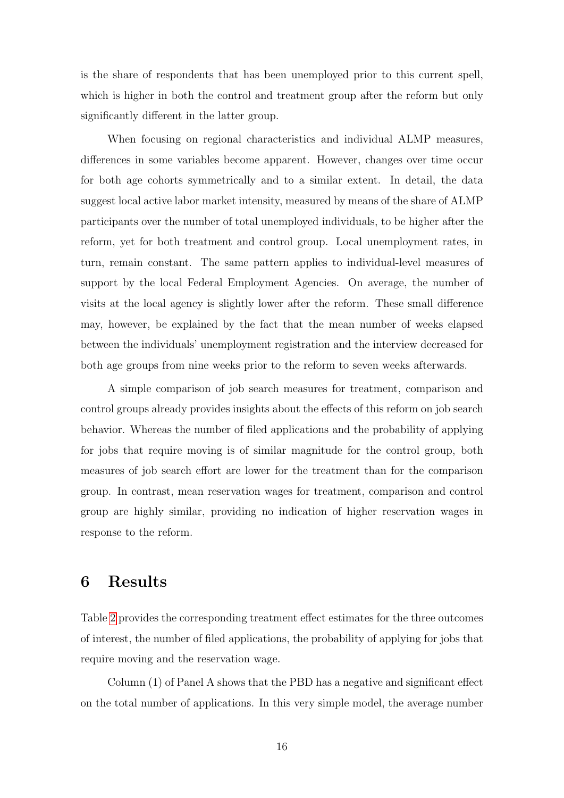is the share of respondents that has been unemployed prior to this current spell, which is higher in both the control and treatment group after the reform but only significantly different in the latter group.

When focusing on regional characteristics and individual ALMP measures, differences in some variables become apparent. However, changes over time occur for both age cohorts symmetrically and to a similar extent. In detail, the data suggest local active labor market intensity, measured by means of the share of ALMP participants over the number of total unemployed individuals, to be higher after the reform, yet for both treatment and control group. Local unemployment rates, in turn, remain constant. The same pattern applies to individual-level measures of support by the local Federal Employment Agencies. On average, the number of visits at the local agency is slightly lower after the reform. These small difference may, however, be explained by the fact that the mean number of weeks elapsed between the individuals' unemployment registration and the interview decreased for both age groups from nine weeks prior to the reform to seven weeks afterwards.

A simple comparison of job search measures for treatment, comparison and control groups already provides insights about the effects of this reform on job search behavior. Whereas the number of filed applications and the probability of applying for jobs that require moving is of similar magnitude for the control group, both measures of job search effort are lower for the treatment than for the comparison group. In contrast, mean reservation wages for treatment, comparison and control group are highly similar, providing no indication of higher reservation wages in response to the reform.

### <span id="page-16-0"></span>6 Results

Table [2](#page-18-0) provides the corresponding treatment effect estimates for the three outcomes of interest, the number of filed applications, the probability of applying for jobs that require moving and the reservation wage.

Column (1) of Panel A shows that the PBD has a negative and significant effect on the total number of applications. In this very simple model, the average number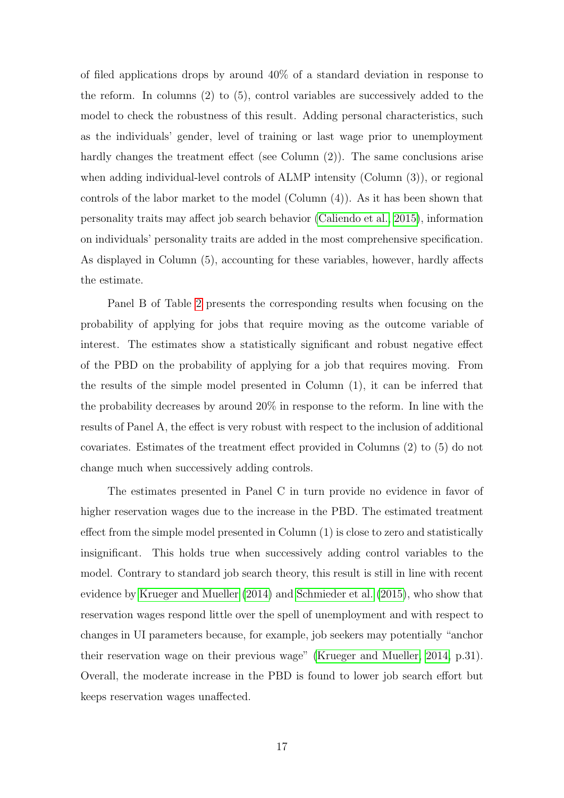of filed applications drops by around 40% of a standard deviation in response to the reform. In columns (2) to (5), control variables are successively added to the model to check the robustness of this result. Adding personal characteristics, such as the individuals' gender, level of training or last wage prior to unemployment hardly changes the treatment effect (see Column (2)). The same conclusions arise when adding individual-level controls of ALMP intensity (Column (3)), or regional controls of the labor market to the model (Column (4)). As it has been shown that personality traits may affect job search behavior [\(Caliendo et al., 2015\)](#page-25-12), information on individuals' personality traits are added in the most comprehensive specification. As displayed in Column (5), accounting for these variables, however, hardly affects the estimate.

Panel B of Table [2](#page-18-0) presents the corresponding results when focusing on the probability of applying for jobs that require moving as the outcome variable of interest. The estimates show a statistically significant and robust negative effect of the PBD on the probability of applying for a job that requires moving. From the results of the simple model presented in Column (1), it can be inferred that the probability decreases by around 20% in response to the reform. In line with the results of Panel A, the effect is very robust with respect to the inclusion of additional covariates. Estimates of the treatment effect provided in Columns (2) to (5) do not change much when successively adding controls.

The estimates presented in Panel C in turn provide no evidence in favor of higher reservation wages due to the increase in the PBD. The estimated treatment effect from the simple model presented in Column (1) is close to zero and statistically insignificant. This holds true when successively adding control variables to the model. Contrary to standard job search theory, this result is still in line with recent evidence by [Krueger and Mueller](#page-25-6) [\(2014\)](#page-25-6) and [Schmieder et al.](#page-26-2) [\(2015\)](#page-26-2), who show that reservation wages respond little over the spell of unemployment and with respect to changes in UI parameters because, for example, job seekers may potentially "anchor their reservation wage on their previous wage" [\(Krueger and Mueller, 2014,](#page-25-6) p.31). Overall, the moderate increase in the PBD is found to lower job search effort but keeps reservation wages unaffected.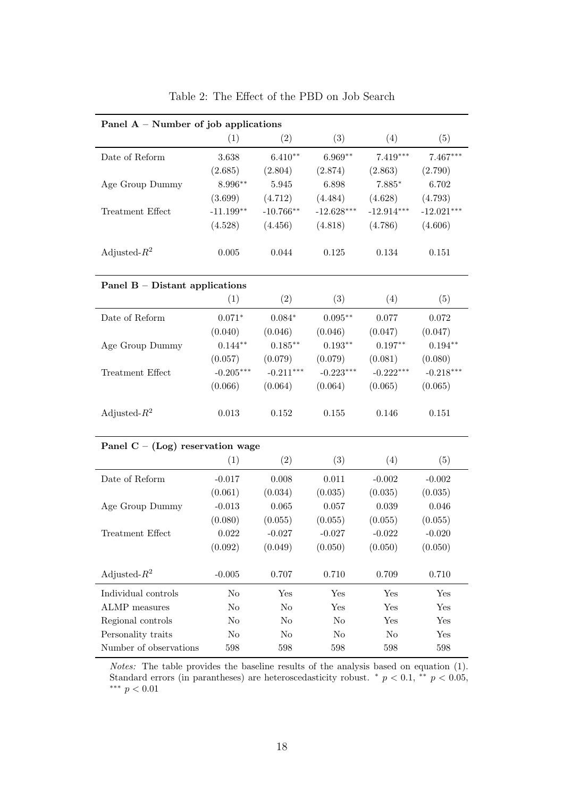<span id="page-18-0"></span>

| Panel $A$ – Number of job applications |             |             |                |                |              |
|----------------------------------------|-------------|-------------|----------------|----------------|--------------|
|                                        | (1)         | (2)         | (3)            | (4)            | (5)          |
| Date of Reform                         | 3.638       | $6.410**$   | $6.969**$      | $7.419***$     | 7.467***     |
|                                        | (2.685)     | (2.804)     | (2.874)        | (2.863)        | (2.790)      |
| Age Group Dummy                        | 8.996**     | 5.945       | 6.898          | $7.885*$       | 6.702        |
|                                        | (3.699)     | (4.712)     | (4.484)        | (4.628)        | (4.793)      |
| Treatment Effect                       | $-11.199**$ | $-10.766**$ | $-12.628***$   | $-12.914***$   | $-12.021***$ |
|                                        | (4.528)     | (4.456)     | (4.818)        | (4.786)        | (4.606)      |
| Adjusted- $R^2$                        | 0.005       | 0.044       | 0.125          | 0.134          | 0.151        |
| Panel $B - Distant$ applications       |             |             |                |                |              |
|                                        | (1)         | (2)         | (3)            | (4)            | (5)          |
| Date of Reform                         | $0.071*$    | $0.084*$    | $0.095**$      | 0.077          | $0.072\,$    |
|                                        | (0.040)     | (0.046)     | (0.046)        | (0.047)        | (0.047)      |
| Age Group Dummy                        | $0.144**$   | $0.185***$  | $0.193**$      | $0.197**$      | $0.194**$    |
|                                        | (0.057)     | (0.079)     | (0.079)        | (0.081)        | (0.080)      |
| Treatment Effect                       | $-0.205***$ | $-0.211***$ | $-0.223***$    | $-0.222***$    | $-0.218***$  |
|                                        | (0.066)     | (0.064)     | (0.064)        | (0.065)        | (0.065)      |
| Adjusted- $R^2$                        | 0.013       | 0.152       | 0.155          | 0.146          | 0.151        |
| Panel $C - (Log)$ reservation wage     |             |             |                |                |              |
|                                        | (1)         | (2)         | (3)            | (4)            | (5)          |
| Date of Reform                         | $-0.017$    | 0.008       | 0.011          | $-0.002$       | $-0.002$     |
|                                        | (0.061)     | (0.034)     | (0.035)        | (0.035)        | (0.035)      |
| Age Group Dummy                        | $-0.013$    | 0.065       | 0.057          | 0.039          | 0.046        |
|                                        | (0.080)     | (0.055)     | (0.055)        | (0.055)        | (0.055)      |
| Treatment Effect                       | 0.022       | $-0.027$    | $-0.027$       | $-0.022$       | $-0.020$     |
|                                        | (0.092)     | (0.049)     | (0.050)        | (0.050)        | (0.050)      |
| Adjusted- $R^2$                        | $-0.005$    | 0.707       | 0.710          | 0.709          | 0.710        |
| Individual controls                    | No          | Yes         | Yes            | Yes            | Yes          |
| <b>ALMP</b> measures                   | $\rm No$    | $\rm No$    | Yes            | Yes            | Yes          |
| Regional controls                      | No          | $\rm No$    | No             | Yes            | Yes          |
| Personality traits                     | No          | No          | N <sub>o</sub> | N <sub>o</sub> | Yes          |
| Number of observations                 | 598         | 598         | $598\,$        | 598            | 598          |

Table 2: The Effect of the PBD on Job Search

Notes: The table provides the baseline results of the analysis based on equation (1). Standard errors (in parantheses) are heteroscedasticity robust.  $\pi p < 0.1$ ,  $\pi p < 0.05$ , ∗∗∗ p < 0.01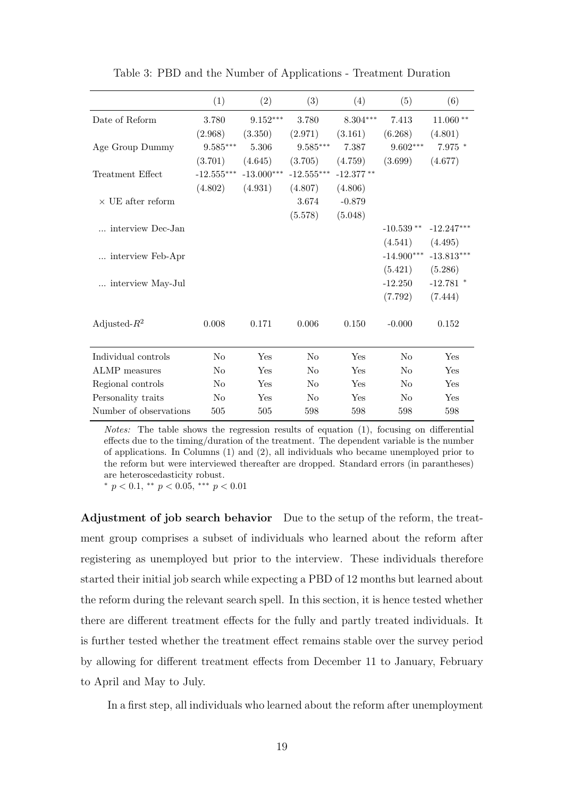<span id="page-19-0"></span>

|                          | (1)                               | (2)          | (3)               | (4)         | (5)            | (6)               |
|--------------------------|-----------------------------------|--------------|-------------------|-------------|----------------|-------------------|
| Date of Reform           | 3.780                             | $9.152***$   | 3.780             | $8.304***$  | 7.413          | $11.060**$        |
|                          | (2.968)                           | (3.350)      | (2.971)           | (3.161)     | (6.268)        | (4.801)           |
| Age Group Dummy          | $9.585***$                        | 5.306        | $9.585***$        | 7.387       | $9.602***$     | $7.975$ $^{\ast}$ |
|                          | (3.701)                           | (4.645)      | (3.705)           | (4.759)     | (3.699)        | (4.677)           |
| Treatment Effect         | $\textbf{-12.555}^{\ast\ast\ast}$ | $-13.000***$ | $-12.555^{***}\,$ | $-12.377**$ |                |                   |
|                          | (4.802)                           | (4.931)      | (4.807)           | (4.806)     |                |                   |
| $\times$ UE after reform |                                   |              | 3.674             | $-0.879$    |                |                   |
|                          |                                   |              | (5.578)           | (5.048)     |                |                   |
| interview Dec-Jan        |                                   |              |                   |             | $-10.539**$    | $-12.247***$      |
|                          |                                   |              |                   |             | (4.541)        | (4.495)           |
| interview Feb-Apr        |                                   |              |                   |             | $-14.900***$   | $-13.813***$      |
|                          |                                   |              |                   |             | (5.421)        | (5.286)           |
| interview May-Jul        |                                   |              |                   |             | $-12.250$      | $-12.781$ *       |
|                          |                                   |              |                   |             | (7.792)        | (7.444)           |
|                          |                                   |              |                   |             |                |                   |
| Adjusted- $R^2$          | 0.008                             | 0.171        | $0.006\,$         | 0.150       | $-0.000$       | 0.152             |
|                          |                                   |              |                   |             |                |                   |
| Individual controls      | No                                | Yes          | N <sub>o</sub>    | Yes         | $\rm No$       | Yes               |
| <b>ALMP</b> measures     | N <sub>o</sub>                    | Yes          | N <sub>o</sub>    | Yes         | N <sub>o</sub> | Yes               |
| Regional controls        | N <sub>0</sub>                    | Yes          | N <sub>o</sub>    | Yes         | N <sub>o</sub> | Yes               |
| Personality traits       | N <sub>o</sub>                    | Yes          | N <sub>o</sub>    | Yes         | N <sub>o</sub> | Yes               |
| Number of observations   | 505                               | 505          | 598               | 598         | 598            | 598               |

Table 3: PBD and the Number of Applications - Treatment Duration

Notes: The table shows the regression results of equation (1), focusing on differential effects due to the timing/duration of the treatment. The dependent variable is the number of applications. In Columns (1) and (2), all individuals who became unemployed prior to the reform but were interviewed thereafter are dropped. Standard errors (in parantheses) are heteroscedasticity robust.

\*  $p < 0.1$ , \*\*  $p < 0.05$ , \*\*\*  $p < 0.01$ 

Adjustment of job search behavior Due to the setup of the reform, the treatment group comprises a subset of individuals who learned about the reform after registering as unemployed but prior to the interview. These individuals therefore started their initial job search while expecting a PBD of 12 months but learned about the reform during the relevant search spell. In this section, it is hence tested whether there are different treatment effects for the fully and partly treated individuals. It is further tested whether the treatment effect remains stable over the survey period by allowing for different treatment effects from December 11 to January, February to April and May to July.

In a first step, all individuals who learned about the reform after unemployment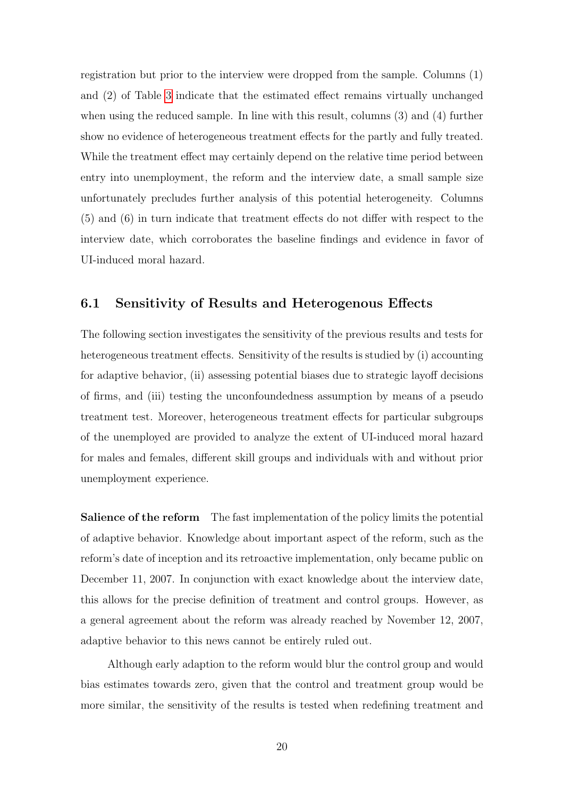registration but prior to the interview were dropped from the sample. Columns (1) and (2) of Table [3](#page-19-0) indicate that the estimated effect remains virtually unchanged when using the reduced sample. In line with this result, columns (3) and (4) further show no evidence of heterogeneous treatment effects for the partly and fully treated. While the treatment effect may certainly depend on the relative time period between entry into unemployment, the reform and the interview date, a small sample size unfortunately precludes further analysis of this potential heterogeneity. Columns (5) and (6) in turn indicate that treatment effects do not differ with respect to the interview date, which corroborates the baseline findings and evidence in favor of UI-induced moral hazard.

### 6.1 Sensitivity of Results and Heterogenous Effects

The following section investigates the sensitivity of the previous results and tests for heterogeneous treatment effects. Sensitivity of the results is studied by (i) accounting for adaptive behavior, (ii) assessing potential biases due to strategic layoff decisions of firms, and (iii) testing the unconfoundedness assumption by means of a pseudo treatment test. Moreover, heterogeneous treatment effects for particular subgroups of the unemployed are provided to analyze the extent of UI-induced moral hazard for males and females, different skill groups and individuals with and without prior unemployment experience.

Salience of the reform The fast implementation of the policy limits the potential of adaptive behavior. Knowledge about important aspect of the reform, such as the reform's date of inception and its retroactive implementation, only became public on December 11, 2007. In conjunction with exact knowledge about the interview date, this allows for the precise definition of treatment and control groups. However, as a general agreement about the reform was already reached by November 12, 2007, adaptive behavior to this news cannot be entirely ruled out.

Although early adaption to the reform would blur the control group and would bias estimates towards zero, given that the control and treatment group would be more similar, the sensitivity of the results is tested when redefining treatment and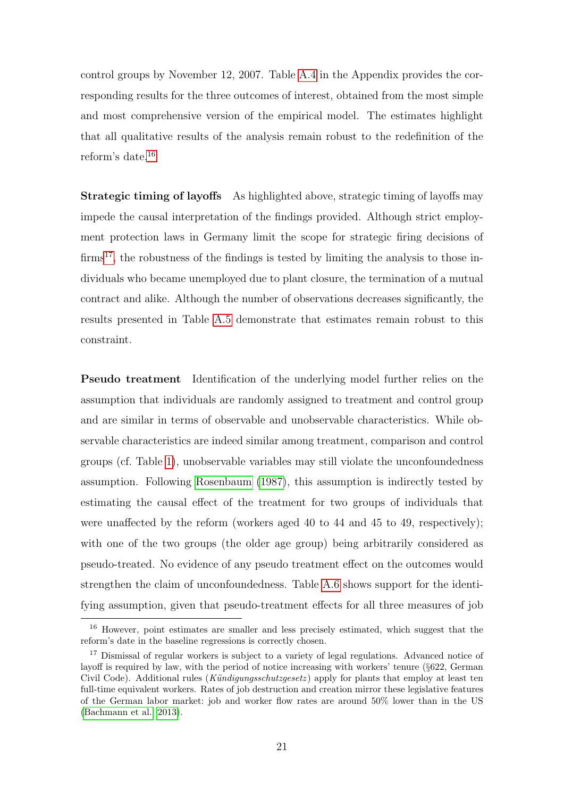control groups by November 12, 2007. Table [A.4](#page-30-0) in the Appendix provides the corresponding results for the three outcomes of interest, obtained from the most simple and most comprehensive version of the empirical model. The estimates highlight that all qualitative results of the analysis remain robust to the redefinition of the reform's date.[16](#page-21-0)

Strategic timing of layoffs As highlighted above, strategic timing of layoffs may impede the causal interpretation of the findings provided. Although strict employment protection laws in Germany limit the scope for strategic firing decisions of  $\text{firms}^{17}$  $\text{firms}^{17}$  $\text{firms}^{17}$ , the robustness of the findings is tested by limiting the analysis to those individuals who became unemployed due to plant closure, the termination of a mutual contract and alike. Although the number of observations decreases significantly, the results presented in Table [A.5](#page-30-1) demonstrate that estimates remain robust to this constraint.

Pseudo treatment Identification of the underlying model further relies on the assumption that individuals are randomly assigned to treatment and control group and are similar in terms of observable and unobservable characteristics. While observable characteristics are indeed similar among treatment, comparison and control groups (cf. Table [1\)](#page-15-0), unobservable variables may still violate the unconfoundedness assumption. Following [Rosenbaum](#page-26-6) [\(1987\)](#page-26-6), this assumption is indirectly tested by estimating the causal effect of the treatment for two groups of individuals that were unaffected by the reform (workers aged 40 to 44 and 45 to 49, respectively); with one of the two groups (the older age group) being arbitrarily considered as pseudo-treated. No evidence of any pseudo treatment effect on the outcomes would strengthen the claim of unconfoundedness. Table [A.6](#page-31-0) shows support for the identifying assumption, given that pseudo-treatment effects for all three measures of job

<span id="page-21-0"></span><sup>16</sup> However, point estimates are smaller and less precisely estimated, which suggest that the reform's date in the baseline regressions is correctly chosen.

<span id="page-21-1"></span><sup>&</sup>lt;sup>17</sup> Dismissal of regular workers is subject to a variety of legal regulations. Advanced notice of layoff is required by law, with the period of notice increasing with workers' tenure (§622, German Civil Code). Additional rules (Kündigungsschutzgesetz) apply for plants that employ at least ten full-time equivalent workers. Rates of job destruction and creation mirror these legislative features of the German labor market: job and worker flow rates are around 50% lower than in the US [\(Bachmann et al., 2013\)](#page-25-13).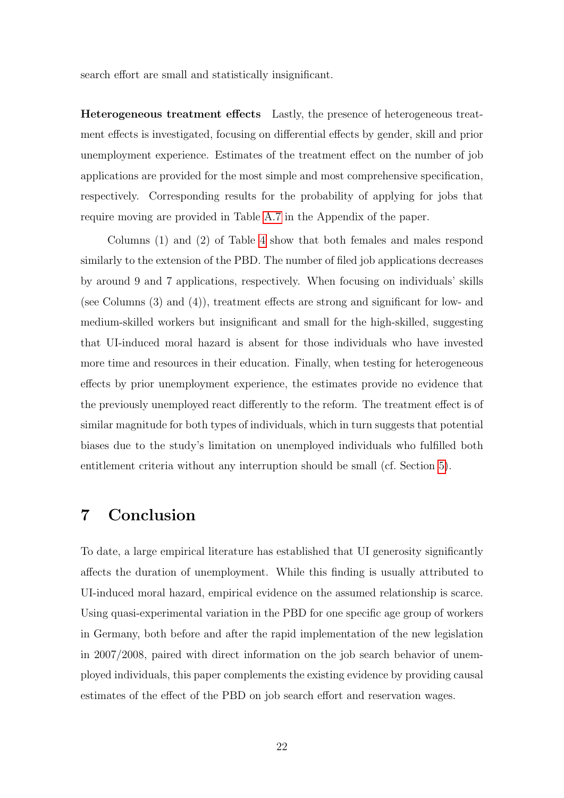search effort are small and statistically insignificant.

Heterogeneous treatment effects Lastly, the presence of heterogeneous treatment effects is investigated, focusing on differential effects by gender, skill and prior unemployment experience. Estimates of the treatment effect on the number of job applications are provided for the most simple and most comprehensive specification, respectively. Corresponding results for the probability of applying for jobs that require moving are provided in Table [A.7](#page-32-0) in the Appendix of the paper.

Columns (1) and (2) of Table [4](#page-23-0) show that both females and males respond similarly to the extension of the PBD. The number of filed job applications decreases by around 9 and 7 applications, respectively. When focusing on individuals' skills (see Columns (3) and (4)), treatment effects are strong and significant for low- and medium-skilled workers but insignificant and small for the high-skilled, suggesting that UI-induced moral hazard is absent for those individuals who have invested more time and resources in their education. Finally, when testing for heterogeneous effects by prior unemployment experience, the estimates provide no evidence that the previously unemployed react differently to the reform. The treatment effect is of similar magnitude for both types of individuals, which in turn suggests that potential biases due to the study's limitation on unemployed individuals who fulfilled both entitlement criteria without any interruption should be small (cf. Section [5\)](#page-9-0).

### <span id="page-22-0"></span>7 Conclusion

To date, a large empirical literature has established that UI generosity significantly affects the duration of unemployment. While this finding is usually attributed to UI-induced moral hazard, empirical evidence on the assumed relationship is scarce. Using quasi-experimental variation in the PBD for one specific age group of workers in Germany, both before and after the rapid implementation of the new legislation in 2007/2008, paired with direct information on the job search behavior of unemployed individuals, this paper complements the existing evidence by providing causal estimates of the effect of the PBD on job search effort and reservation wages.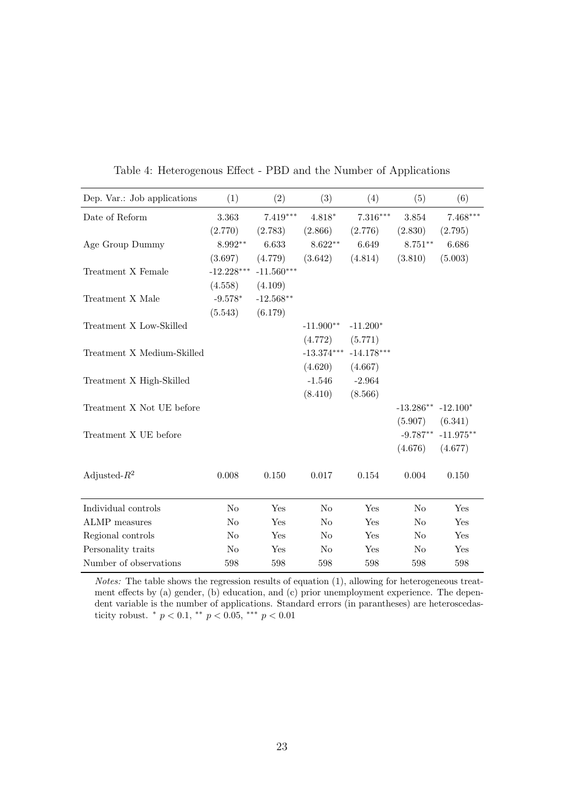<span id="page-23-0"></span>

| Dep. Var.: Job applications | (1)            | (2)          | (3)            | (4)          | (5)            | (6)         |
|-----------------------------|----------------|--------------|----------------|--------------|----------------|-------------|
| Date of Reform              | 3.363          | $7.419***$   | $4.818*$       | $7.316***$   | $3.854\,$      | $7.468***$  |
|                             | (2.770)        | (2.783)      | (2.866)        | (2.776)      | (2.830)        | (2.795)     |
| Age Group Dummy             | $8.992**$      | 6.633        | $8.622**$      | 6.649        | $8.751**$      | 6.686       |
|                             | (3.697)        | (4.779)      | (3.642)        | (4.814)      | (3.810)        | (5.003)     |
| Treatment X Female          | $-12.228***$   | $-11.560***$ |                |              |                |             |
|                             | (4.558)        | (4.109)      |                |              |                |             |
| Treatment X Male            | $-9.578*$      | $-12.568**$  |                |              |                |             |
|                             | (5.543)        | (6.179)      |                |              |                |             |
| Treatment X Low-Skilled     |                |              | $-11.900**$    | $-11.200*$   |                |             |
|                             |                |              | (4.772)        | (5.771)      |                |             |
| Treatment X Medium-Skilled  |                |              | $-13.374***$   | $-14.178***$ |                |             |
|                             |                |              | (4.620)        | (4.667)      |                |             |
| Treatment X High-Skilled    |                |              | $-1.546$       | $-2.964$     |                |             |
|                             |                |              | (8.410)        | (8.566)      |                |             |
| Treatment X Not UE before   |                |              |                |              | $-13.286**$    | $-12.100*$  |
|                             |                |              |                |              | (5.907)        | (6.341)     |
| Treatment X UE before       |                |              |                |              | $-9.787**$     | $-11.975**$ |
|                             |                |              |                |              | (4.676)        | (4.677)     |
| Adjusted- $R^2$             | 0.008          | 0.150        | 0.017          | 0.154        | 0.004          | 0.150       |
|                             |                |              |                |              |                |             |
| Individual controls         | N <sub>o</sub> | Yes          | N <sub>o</sub> | Yes          | $\rm No$       | Yes         |
| ALMP measures               | $\rm No$       | Yes          | N <sub>o</sub> | Yes          | No             | Yes         |
| Regional controls           | $\rm No$       | Yes          | N <sub>o</sub> | Yes          | $\rm No$       | Yes         |
| Personality traits          | No             | Yes          | N <sub>o</sub> | Yes          | N <sub>o</sub> | Yes         |
| Number of observations      | 598            | 598          | 598            | 598          | 598            | 598         |

Table 4: Heterogenous Effect - PBD and the Number of Applications

Notes: The table shows the regression results of equation (1), allowing for heterogeneous treatment effects by (a) gender, (b) education, and (c) prior unemployment experience. The dependent variable is the number of applications. Standard errors (in parantheses) are heteroscedasticity robust. \* $p<0.1,$ \*\* $p<0.05,$ \*\*\* $p<0.01$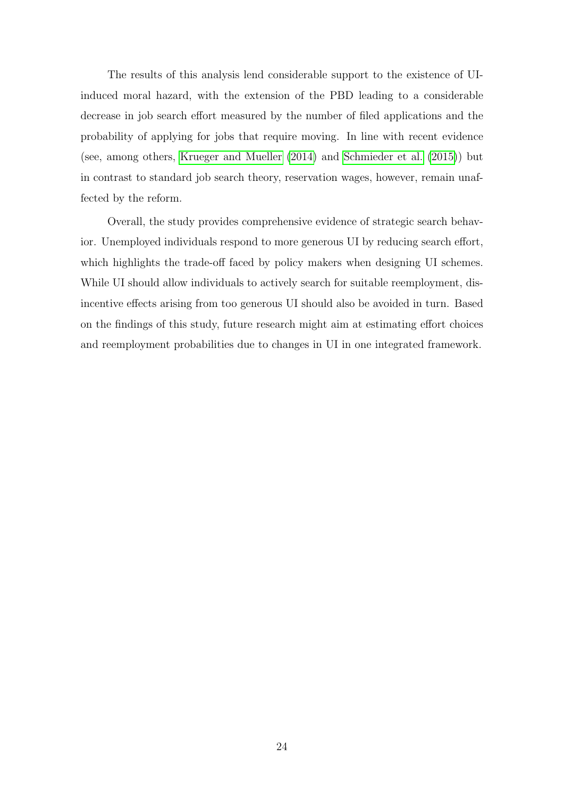The results of this analysis lend considerable support to the existence of UIinduced moral hazard, with the extension of the PBD leading to a considerable decrease in job search effort measured by the number of filed applications and the probability of applying for jobs that require moving. In line with recent evidence (see, among others, [Krueger and Mueller](#page-25-6) [\(2014\)](#page-25-6) and [Schmieder et al.](#page-26-2) [\(2015\)](#page-26-2)) but in contrast to standard job search theory, reservation wages, however, remain unaffected by the reform.

Overall, the study provides comprehensive evidence of strategic search behavior. Unemployed individuals respond to more generous UI by reducing search effort, which highlights the trade-off faced by policy makers when designing UI schemes. While UI should allow individuals to actively search for suitable reemployment, disincentive effects arising from too generous UI should also be avoided in turn. Based on the findings of this study, future research might aim at estimating effort choices and reemployment probabilities due to changes in UI in one integrated framework.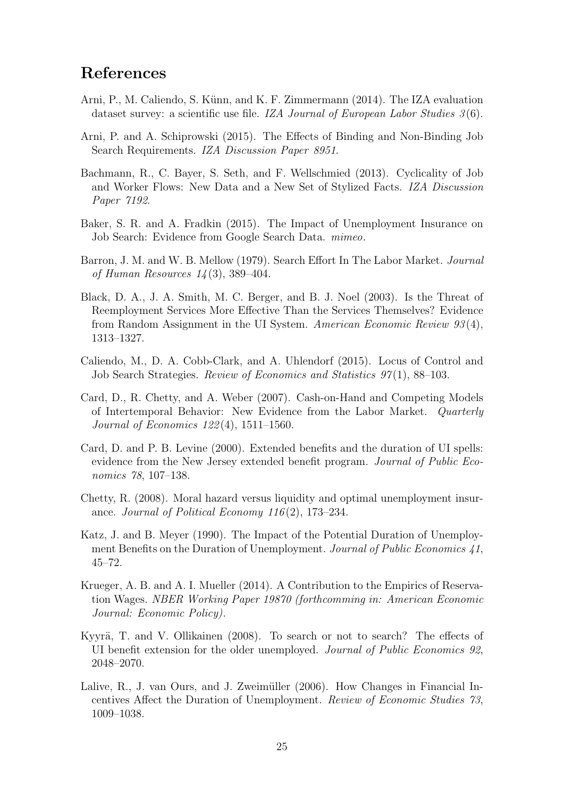### References

- <span id="page-25-10"></span>Arni, P., M. Caliendo, S. Künn, and K. F. Zimmermann (2014). The IZA evaluation dataset survey: a scientific use file. IZA Journal of European Labor Studies  $3(6)$ .
- <span id="page-25-8"></span>Arni, P. and A. Schiprowski (2015). The Effects of Binding and Non-Binding Job Search Requirements. IZA Discussion Paper 8951.
- <span id="page-25-13"></span>Bachmann, R., C. Bayer, S. Seth, and F. Wellschmied (2013). Cyclicality of Job and Worker Flows: New Data and a New Set of Stylized Facts. IZA Discussion Paper 7192.
- <span id="page-25-4"></span>Baker, S. R. and A. Fradkin (2015). The Impact of Unemployment Insurance on Job Search: Evidence from Google Search Data. mimeo.
- <span id="page-25-7"></span>Barron, J. M. and W. B. Mellow (1979). Search Effort In The Labor Market. Journal of Human Resources 14 (3), 389–404.
- <span id="page-25-9"></span>Black, D. A., J. A. Smith, M. C. Berger, and B. J. Noel (2003). Is the Threat of Reemployment Services More Effective Than the Services Themselves? Evidence from Random Assignment in the UI System. American Economic Review 93 (4), 1313–1327.
- <span id="page-25-12"></span>Caliendo, M., D. A. Cobb-Clark, and A. Uhlendorf (2015). Locus of Control and Job Search Strategies. Review of Economics and Statistics 97(1), 88–103.
- <span id="page-25-5"></span>Card, D., R. Chetty, and A. Weber (2007). Cash-on-Hand and Competing Models of Intertemporal Behavior: New Evidence from the Labor Market. Quarterly Journal of Economics 122 (4), 1511–1560.
- <span id="page-25-1"></span>Card, D. and P. B. Levine (2000). Extended benefits and the duration of UI spells: evidence from the New Jersey extended benefit program. Journal of Public Economics 78, 107–138.
- <span id="page-25-3"></span>Chetty, R. (2008). Moral hazard versus liquidity and optimal unemployment insurance. Journal of Political Economy  $116(2)$ , 173–234.
- <span id="page-25-0"></span>Katz, J. and B. Meyer (1990). The Impact of the Potential Duration of Unemployment Benefits on the Duration of Unemployment. Journal of Public Economics 41, 45–72.
- <span id="page-25-6"></span>Krueger, A. B. and A. I. Mueller (2014). A Contribution to the Empirics of Reservation Wages. NBER Working Paper 19870 (forthcomming in: American Economic Journal: Economic Policy).
- <span id="page-25-11"></span>Kyyrä, T. and V. Ollikainen (2008). To search or not to search? The effects of UI benefit extension for the older unemployed. Journal of Public Economics 92, 2048–2070.
- <span id="page-25-2"></span>Lalive, R., J. van Ours, and J. Zweimüller  $(2006)$ . How Changes in Financial Incentives Affect the Duration of Unemployment. Review of Economic Studies 73, 1009–1038.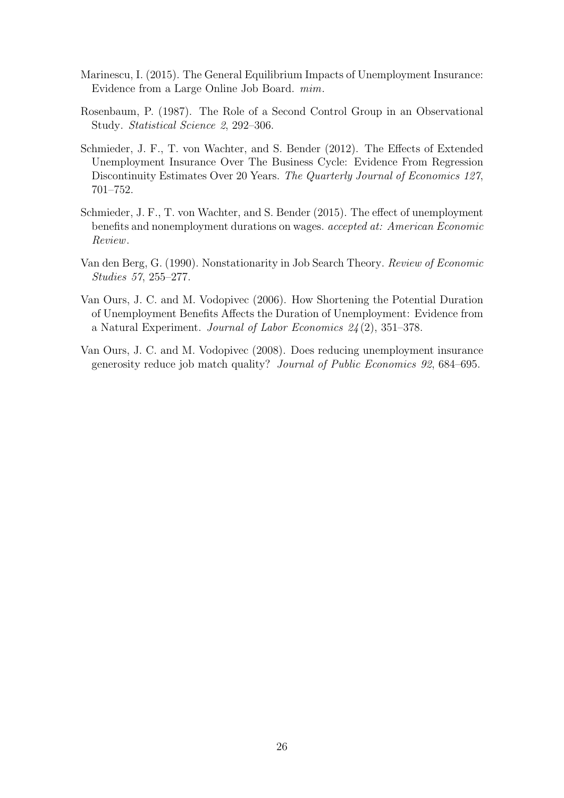- <span id="page-26-3"></span>Marinescu, I. (2015). The General Equilibrium Impacts of Unemployment Insurance: Evidence from a Large Online Job Board. mim.
- <span id="page-26-6"></span>Rosenbaum, P. (1987). The Role of a Second Control Group in an Observational Study. Statistical Science 2, 292–306.
- <span id="page-26-1"></span>Schmieder, J. F., T. von Wachter, and S. Bender (2012). The Effects of Extended Unemployment Insurance Over The Business Cycle: Evidence From Regression Discontinuity Estimates Over 20 Years. The Quarterly Journal of Economics 127, 701–752.
- <span id="page-26-2"></span>Schmieder, J. F., T. von Wachter, and S. Bender (2015). The effect of unemployment benefits and nonemployment durations on wages. accepted at: American Economic Review.
- <span id="page-26-4"></span>Van den Berg, G. (1990). Nonstationarity in Job Search Theory. Review of Economic Studies 57, 255–277.
- <span id="page-26-0"></span>Van Ours, J. C. and M. Vodopivec (2006). How Shortening the Potential Duration of Unemployment Benefits Affects the Duration of Unemployment: Evidence from a Natural Experiment. Journal of Labor Economics 24 (2), 351–378.
- <span id="page-26-5"></span>Van Ours, J. C. and M. Vodopivec (2008). Does reducing unemployment insurance generosity reduce job match quality? Journal of Public Economics 92, 684–695.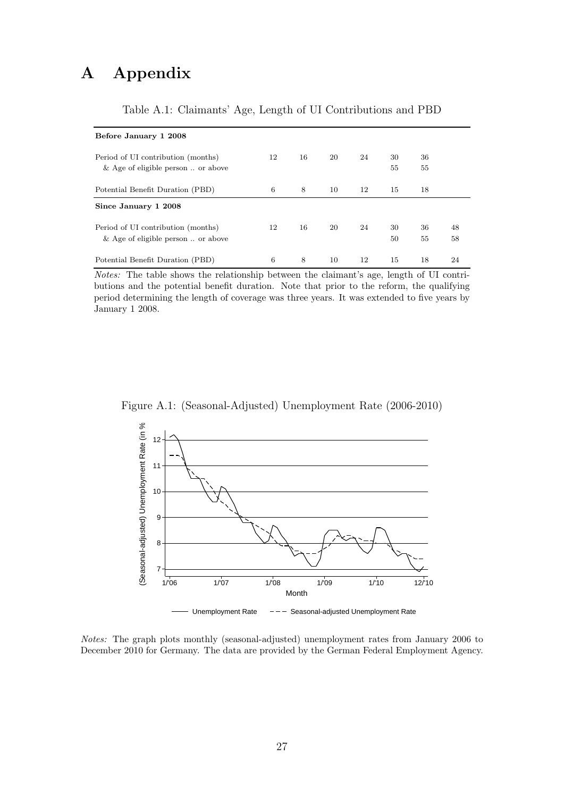# A Appendix

<span id="page-27-1"></span>

| Before January 1 2008                         |    |    |    |    |    |    |    |
|-----------------------------------------------|----|----|----|----|----|----|----|
|                                               |    |    |    |    |    |    |    |
| Period of UI contribution (months)            | 12 | 16 | 20 | 24 | 30 | 36 |    |
| $\&$ Age of eligible person $\ldots$ or above |    |    |    |    | 55 | 55 |    |
| Potential Benefit Duration (PBD)              | 6  | 8  | 10 | 12 | 15 | 18 |    |
| Since January 1 2008                          |    |    |    |    |    |    |    |
| Period of UI contribution (months)            | 12 | 16 | 20 | 24 | 30 | 36 | 48 |
| & Age of eligible person $\ldots$ or above    |    |    |    |    | 50 | 55 | 58 |
| Potential Benefit Duration (PBD)              | 6  | 8  | 10 | 12 | 15 | 18 | 24 |

### Table A.1: Claimants' Age, Length of UI Contributions and PBD

Notes: The table shows the relationship between the claimant's age, length of UI contributions and the potential benefit duration. Note that prior to the reform, the qualifying period determining the length of coverage was three years. It was extended to five years by January 1 2008.

<span id="page-27-0"></span>



Notes: The graph plots monthly (seasonal-adjusted) unemployment rates from January 2006 to December 2010 for Germany. The data are provided by the German Federal Employment Agency.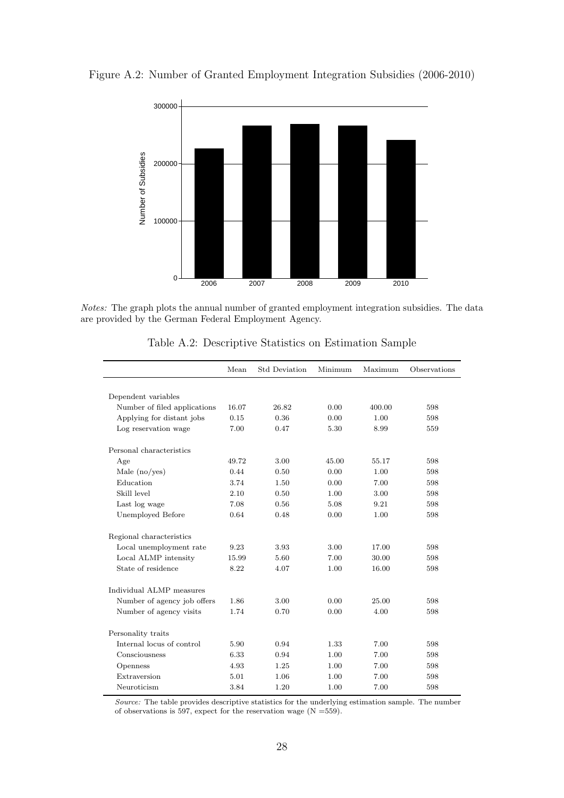

<span id="page-28-1"></span>Figure A.2: Number of Granted Employment Integration Subsidies (2006-2010)

Notes: The graph plots the annual number of granted employment integration subsidies. The data are provided by the German Federal Employment Agency.

<span id="page-28-0"></span>

|                              | Mean  | <b>Std Deviation</b> | Minimum | Maximum | Observations |
|------------------------------|-------|----------------------|---------|---------|--------------|
|                              |       |                      |         |         |              |
| Dependent variables          |       |                      |         |         |              |
| Number of filed applications | 16.07 | 26.82                | 0.00    | 400.00  | 598          |
| Applying for distant jobs    | 0.15  | 0.36                 | 0.00    | 1.00    | 598          |
| Log reservation wage         | 7.00  | 0.47                 | 5.30    | 8.99    | 559          |
| Personal characteristics     |       |                      |         |         |              |
| Age                          | 49.72 | 3.00                 | 45.00   | 55.17   | 598          |
| Male $(no/yes)$              | 0.44  | 0.50                 | 0.00    | 1.00    | 598          |
| Education                    | 3.74  | 1.50                 | 0.00    | 7.00    | 598          |
| Skill level                  | 2.10  | 0.50                 | 1.00    | 3.00    | 598          |
| Last log wage                | 7.08  | 0.56                 | 5.08    | 9.21    | 598          |
| Unemployed Before            | 0.64  | 0.48                 | 0.00    | 1.00    | 598          |
| Regional characteristics     |       |                      |         |         |              |
| Local unemployment rate      | 9.23  | 3.93                 | 3.00    | 17.00   | 598          |
| Local ALMP intensity         | 15.99 | 5.60                 | 7.00    | 30.00   | 598          |
| State of residence           | 8.22  | 4.07                 | 1.00    | 16.00   | 598          |
| Individual ALMP measures     |       |                      |         |         |              |
| Number of agency job offers  | 1.86  | 3.00                 | 0.00    | 25.00   | 598          |
| Number of agency visits      | 1.74  | 0.70                 | 0.00    | 4.00    | 598          |
| Personality traits           |       |                      |         |         |              |
| Internal locus of control    | 5.90  | 0.94                 | 1.33    | 7.00    | 598          |
| Consciousness                | 6.33  | 0.94                 | 1.00    | 7.00    | 598          |
| Openness                     | 4.93  | 1.25                 | 1.00    | 7.00    | 598          |
| Extraversion                 | 5.01  | 1.06                 | 1.00    | 7.00    | 598          |
| Neuroticism                  | 3.84  | 1.20                 | 1.00    | 7.00    | 598          |

Table A.2: Descriptive Statistics on Estimation Sample

Source: The table provides descriptive statistics for the underlying estimation sample. The number of observations is 597, expect for the reservation wage  $(N = 559)$ .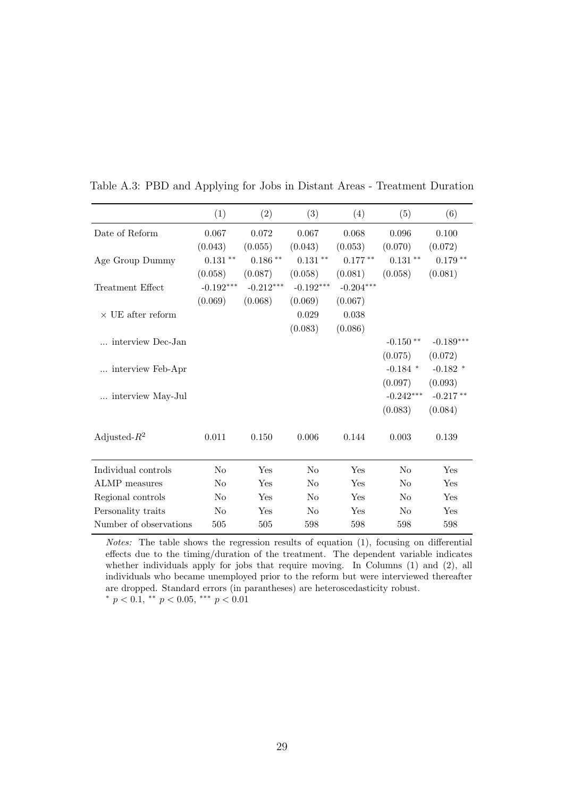|                          | (1)                   | (2)                   | (3)                   | (4)         | (5)            | (6)         |
|--------------------------|-----------------------|-----------------------|-----------------------|-------------|----------------|-------------|
| Date of Reform           | 0.067                 | 0.072                 | 0.067                 | 0.068       | 0.096          | 0.100       |
|                          | (0.043)               | (0.055)               | (0.043)               | (0.053)     | (0.070)        | (0.072)     |
| Age Group Dummy          | $0.131\; ^{\ast\ast}$ | $0.186$ $^{\ast\ast}$ | $0.131\; ^{\ast\ast}$ | $0.177**$   | $0.131**$      | $0.179**$   |
|                          | (0.058)               | (0.087)               | (0.058)               | (0.081)     | (0.058)        | (0.081)     |
| Treatment Effect         | $-0.192***$           | $-0.212***$           | $-0.192***$           | $-0.204***$ |                |             |
|                          | (0.069)               | (0.068)               | (0.069)               | (0.067)     |                |             |
| $\times$ UE after reform |                       |                       | 0.029                 | 0.038       |                |             |
|                          |                       |                       | (0.083)               | (0.086)     |                |             |
| interview Dec-Jan        |                       |                       |                       |             | $-0.150**$     | $-0.189***$ |
|                          |                       |                       |                       |             | (0.075)        | (0.072)     |
| interview Feb-Apr        |                       |                       |                       |             | $-0.184$ *     | $-0.182$ *  |
|                          |                       |                       |                       |             | (0.097)        | (0.093)     |
| interview May-Jul        |                       |                       |                       |             | $-0.242***$    | $-0.217**$  |
|                          |                       |                       |                       |             | (0.083)        | (0.084)     |
|                          |                       |                       |                       |             |                |             |
| Adjusted- $R^2$          | 0.011                 | 0.150                 | 0.006                 | 0.144       | 0.003          | 0.139       |
|                          |                       |                       |                       |             |                |             |
| Individual controls      | No                    | Yes                   | No                    | Yes         | No             | Yes         |
| <b>ALMP</b> measures     | No                    | Yes                   | N <sub>o</sub>        | Yes         | N <sub>o</sub> | Yes         |
| Regional controls        | No                    | Yes                   | N <sub>o</sub>        | Yes         | N <sub>o</sub> | Yes         |
| Personality traits       | N <sub>o</sub>        | Yes                   | N <sub>0</sub>        | Yes         | N <sub>o</sub> | Yes         |
| Number of observations   | 505                   | 505                   | 598                   | 598         | 598            | 598         |

Table A.3: PBD and Applying for Jobs in Distant Areas - Treatment Duration

Notes: The table shows the regression results of equation (1), focusing on differential effects due to the timing/duration of the treatment. The dependent variable indicates whether individuals apply for jobs that require moving. In Columns (1) and (2), all individuals who became unemployed prior to the reform but were interviewed thereafter are dropped. Standard errors (in parantheses) are heteroscedasticity robust.  $^{*}$   $p$   $<$   $0.1,$   $^{**}$   $p$   $<$   $0.05,$   $^{***}$   $p$   $<$   $0.01$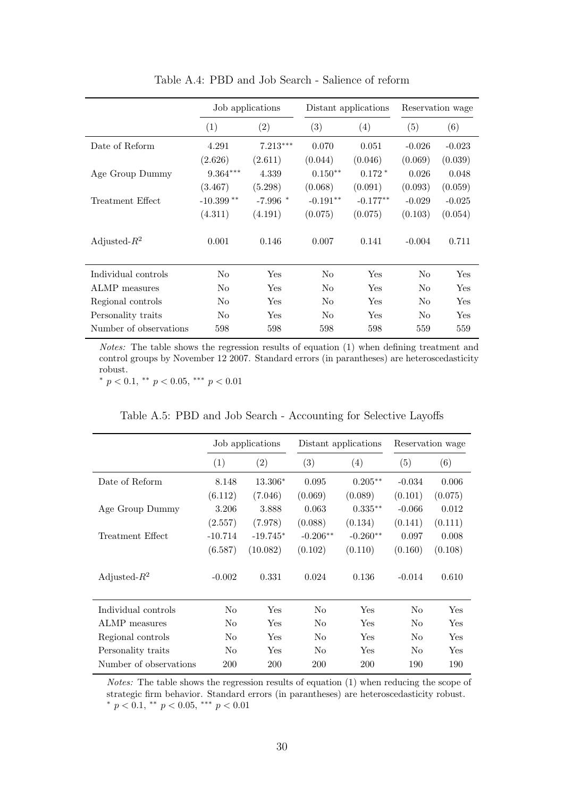<span id="page-30-0"></span>

|                        |                | Job applications  |            | Distant applications |          | Reservation wage |
|------------------------|----------------|-------------------|------------|----------------------|----------|------------------|
|                        | (1)            | $\left( 2\right)$ | (3)        | (4)                  | (5)      | (6)              |
| Date of Reform         | 4.291          | $7.213***$        | 0.070      | 0.051                | $-0.026$ | $-0.023$         |
|                        | (2.626)        | (2.611)           | (0.044)    | (0.046)              | (0.069)  | (0.039)          |
| Age Group Dummy        | $9.364***$     | 4.339             | $0.150**$  | $0.172*$             | 0.026    | 0.048            |
|                        | (3.467)        | (5.298)           | (0.068)    | (0.091)              | (0.093)  | (0.059)          |
| Treatment Effect       | $-10.399**$    | $-7.996$ *        | $-0.191**$ | $-0.177**$           | $-0.029$ | $-0.025$         |
|                        | (4.311)        | (4.191)           | (0.075)    | (0.075)              | (0.103)  | (0.054)          |
| Adjusted- $R^2$        | 0.001          | 0.146             | 0.007      | 0.141                | $-0.004$ | 0.711            |
| Individual controls    | No             | Yes               | No         | Yes                  | No       | Yes              |
| ALMP measures          | No             | Yes               | No         | Yes                  | No       | Yes              |
| Regional controls      | N <sub>o</sub> | Yes               | No         | Yes                  | $\rm No$ | Yes              |
| Personality traits     | No             | Yes               | No         | Yes                  | No       | Yes              |
| Number of observations | 598            | 598               | 598        | 598                  | 559      | 559              |

Table A.4: PBD and Job Search - Salience of reform

Notes: The table shows the regression results of equation (1) when defining treatment and control groups by November 12 2007. Standard errors (in parantheses) are heteroscedasticity robust.

\*  $p < 0.1$ , \*\*  $p < 0.05$ , \*\*\*  $p < 0.01$ 

<span id="page-30-1"></span>

|                        |                | Job applications  |                | Distant applications |                | Reservation wage |
|------------------------|----------------|-------------------|----------------|----------------------|----------------|------------------|
|                        | (1)            | $\left( 2\right)$ | (3)            | (4)                  | (5)            | (6)              |
| Date of Reform         | 8.148          | $13.306*$         | 0.095          | $0.205**$            | $-0.034$       | 0.006            |
|                        | (6.112)        | (7.046)           | (0.069)        | (0.089)              | (0.101)        | (0.075)          |
| Age Group Dummy        | 3.206          | 3.888             | 0.063          | $0.335**$            | $-0.066$       | 0.012            |
|                        | (2.557)        | (7.978)           | (0.088)        | (0.134)              | (0.141)        | (0.111)          |
| Treatment Effect       | $-10.714$      | $-19.745*$        | $-0.206**$     | $-0.260**$           | 0.097          | 0.008            |
|                        | (6.587)        | (10.082)          | (0.102)        | (0.110)              | (0.160)        | (0.108)          |
| Adjusted- $R^2$        | $-0.002$       | 0.331             | 0.024          | 0.136                | $-0.014$       | 0.610            |
| Individual controls    | N <sub>o</sub> | Yes               | N <sub>o</sub> | Yes                  | N <sub>o</sub> | Yes              |
| ALMP measures          | N <sub>0</sub> | Yes               | N <sub>o</sub> | Yes                  | No             | Yes              |
| Regional controls      | No             | Yes               | N <sub>o</sub> | <b>Yes</b>           | No             | Yes              |
| Personality traits     | No             | Yes               | N <sub>0</sub> | <b>Yes</b>           | No             | Yes              |
| Number of observations | 200            | <b>200</b>        | 200            | <b>200</b>           | 190            | 190              |

Notes: The table shows the regression results of equation (1) when reducing the scope of strategic firm behavior. Standard errors (in parantheses) are heteroscedasticity robust.  $^*$   $p$   $<$   $0.1,$   $^{\ast\ast}$   $p$   $<$   $0.05,$   $^{\ast\ast\ast}$   $p$   $<$   $0.01$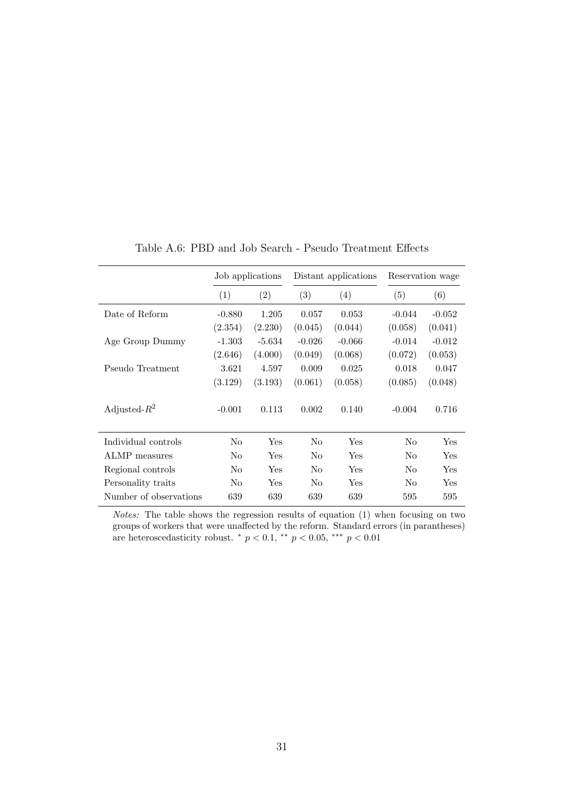<span id="page-31-0"></span>

|                        |          | Job applications     | Distant applications |          |          | Reservation wage     |
|------------------------|----------|----------------------|----------------------|----------|----------|----------------------|
|                        | (1)      | (2)                  | (3)                  | (4)      | (5)      | (6)                  |
| Date of Reform         | $-0.880$ | 1.205                | 0.057                | 0.053    | $-0.044$ | $-0.052$             |
|                        | (2.354)  | (2.230)              | (0.045)              | (0.044)  | (0.058)  | (0.041)              |
| Age Group Dummy        | $-1.303$ | $-5.634$             | $-0.026$             | $-0.066$ | $-0.014$ | $-0.012$             |
|                        | (2.646)  | (4.000)              | (0.049)              | (0.068)  | (0.072)  | (0.053)              |
| Pseudo Treatment       | 3.621    | 4.597                | 0.009                | 0.025    | 0.018    | 0.047                |
|                        | (3.129)  | (3.193)              | (0.061)              | (0.058)  | (0.085)  | (0.048)              |
| Adjusted- $R^2$        | $-0.001$ | 0.113                | 0.002                | 0.140    | $-0.004$ | 0.716                |
| Individual controls    | No       | $\operatorname{Yes}$ | No                   | Yes      | No       | $\operatorname{Yes}$ |
| ALMP measures          | No       | Yes                  | No                   | Yes      | No       | $_{\rm Yes}$         |
| Regional controls      | No       | <b>Yes</b>           | N <sub>0</sub>       | Yes      | No       | <b>Yes</b>           |
| Personality traits     | No       | Yes                  | No                   | Yes      | No       | $\operatorname{Yes}$ |
| Number of observations | 639      | 639                  | 639                  | 639      | 595      | 595                  |

Table A.6: PBD and Job Search - Pseudo Treatment Effects

Notes: The table shows the regression results of equation (1) when focusing on two groups of workers that were unaffected by the reform. Standard errors (in parantheses) are heteroscedasticity robust. \* $p < 0.1,$ \*\* $p < 0.05,$ \*\*\* $p < 0.01$